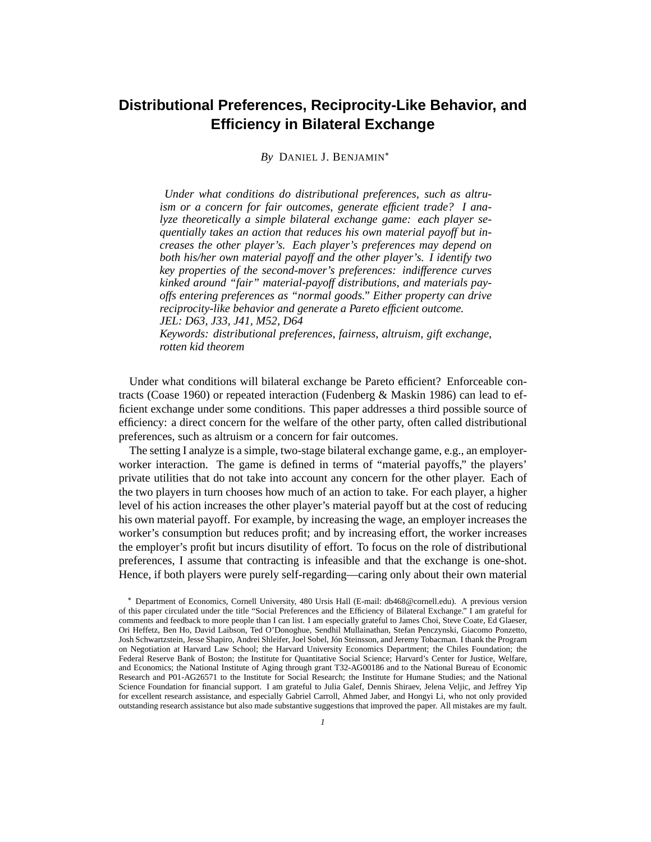# **Distributional Preferences, Reciprocity-Like Behavior, and Efficiency in Bilateral Exchange**

*By* DANIEL J. BENJAMIN

*Under what conditions do distributional preferences, such as altruism or a concern for fair outcomes, generate efficient trade? I analyze theoretically a simple bilateral exchange game: each player sequentially takes an action that reduces his own material payoff but increases the other player's. Each player's preferences may depend on both his/her own material payoff and the other player's. I identify two key properties of the second-mover's preferences: indifference curves kinked around "fair" material-payoff distributions, and materials payoffs entering preferences as "normal goods." Either property can drive reciprocity-like behavior and generate a Pareto efficient outcome. JEL: D63, J33, J41, M52, D64*

*Keywords: distributional preferences, fairness, altruism, gift exchange, rotten kid theorem*

Under what conditions will bilateral exchange be Pareto efficient? Enforceable contracts (Coase 1960) or repeated interaction (Fudenberg & Maskin 1986) can lead to efficient exchange under some conditions. This paper addresses a third possible source of efficiency: a direct concern for the welfare of the other party, often called distributional preferences, such as altruism or a concern for fair outcomes.

The setting I analyze is a simple, two-stage bilateral exchange game, e.g., an employerworker interaction. The game is defined in terms of "material payoffs," the players' private utilities that do not take into account any concern for the other player. Each of the two players in turn chooses how much of an action to take. For each player, a higher level of his action increases the other player's material payoff but at the cost of reducing his own material payoff. For example, by increasing the wage, an employer increases the worker's consumption but reduces profit; and by increasing effort, the worker increases the employer's profit but incurs disutility of effort. To focus on the role of distributional preferences, I assume that contracting is infeasible and that the exchange is one-shot. Hence, if both players were purely self-regarding—caring only about their own material

Department of Economics, Cornell University, 480 Ursis Hall (E-mail: db468@cornell.edu). A previous version of this paper circulated under the title "Social Preferences and the Efficiency of Bilateral Exchange." I am grateful for comments and feedback to more people than I can list. I am especially grateful to James Choi, Steve Coate, Ed Glaeser, Ori Heffetz, Ben Ho, David Laibson, Ted O'Donoghue, Sendhil Mullainathan, Stefan Penczynski, Giacomo Ponzetto, Josh Schwartzstein, Jesse Shapiro, Andrei Shleifer, Joel Sobel, Jón Steinsson, and Jeremy Tobacman. I thank the Program on Negotiation at Harvard Law School; the Harvard University Economics Department; the Chiles Foundation; the Federal Reserve Bank of Boston; the Institute for Quantitative Social Science; Harvard's Center for Justice, Welfare, and Economics; the National Institute of Aging through grant T32-AG00186 and to the National Bureau of Economic Research and P01-AG26571 to the Institute for Social Research; the Institute for Humane Studies; and the National Science Foundation for financial support. I am grateful to Julia Galef, Dennis Shiraev, Jelena Veljic, and Jeffrey Yip for excellent research assistance, and especially Gabriel Carroll, Ahmed Jaber, and Hongyi Li, who not only provided outstanding research assistance but also made substantive suggestions that improved the paper. All mistakes are my fault.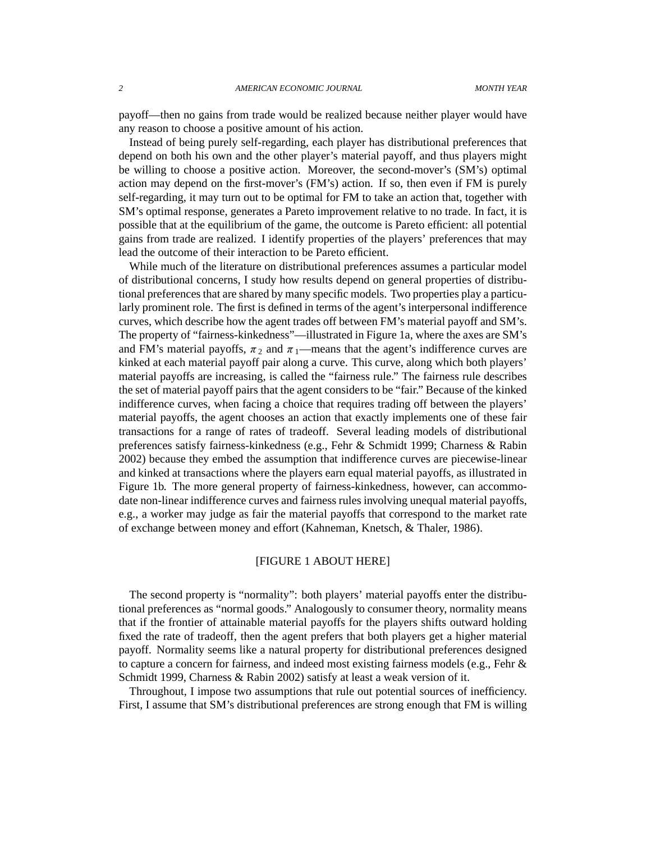payoff—then no gains from trade would be realized because neither player would have any reason to choose a positive amount of his action.

Instead of being purely self-regarding, each player has distributional preferences that depend on both his own and the other player's material payoff, and thus players might be willing to choose a positive action. Moreover, the second-mover's (SM's) optimal action may depend on the first-mover's (FM's) action. If so, then even if FM is purely self-regarding, it may turn out to be optimal for FM to take an action that, together with SM's optimal response, generates a Pareto improvement relative to no trade. In fact, it is possible that at the equilibrium of the game, the outcome is Pareto efficient: all potential gains from trade are realized. I identify properties of the players' preferences that may lead the outcome of their interaction to be Pareto efficient.

While much of the literature on distributional preferences assumes a particular model of distributional concerns, I study how results depend on general properties of distributional preferences that are shared by many specific models. Two properties play a particularly prominent role. The first is defined in terms of the agent's interpersonal indifference curves, which describe how the agent trades off between FM's material payoff and SM's. The property of "fairness-kinkedness"—illustrated in Figure 1a, where the axes are SM's and FM's material payoffs,  $\pi_2$  and  $\pi_1$ —means that the agent's indifference curves are kinked at each material payoff pair along a curve. This curve, along which both players' material payoffs are increasing, is called the "fairness rule." The fairness rule describes the set of material payoff pairs that the agent considers to be "fair." Because of the kinked indifference curves, when facing a choice that requires trading off between the players' material payoffs, the agent chooses an action that exactly implements one of these fair transactions for a range of rates of tradeoff. Several leading models of distributional preferences satisfy fairness-kinkedness (e.g., Fehr & Schmidt 1999; Charness & Rabin 2002) because they embed the assumption that indifference curves are piecewise-linear and kinked at transactions where the players earn equal material payoffs, as illustrated in Figure 1b. The more general property of fairness-kinkedness, however, can accommodate non-linear indifference curves and fairness rules involving unequal material payoffs, e.g., a worker may judge as fair the material payoffs that correspond to the market rate of exchange between money and effort (Kahneman, Knetsch, & Thaler, 1986).

# [FIGURE 1 ABOUT HERE]

The second property is "normality": both players' material payoffs enter the distributional preferences as "normal goods." Analogously to consumer theory, normality means that if the frontier of attainable material payoffs for the players shifts outward holding fixed the rate of tradeoff, then the agent prefers that both players get a higher material payoff. Normality seems like a natural property for distributional preferences designed to capture a concern for fairness, and indeed most existing fairness models (e.g., Fehr & Schmidt 1999, Charness & Rabin 2002) satisfy at least a weak version of it.

Throughout, I impose two assumptions that rule out potential sources of inefficiency. First, I assume that SM's distributional preferences are strong enough that FM is willing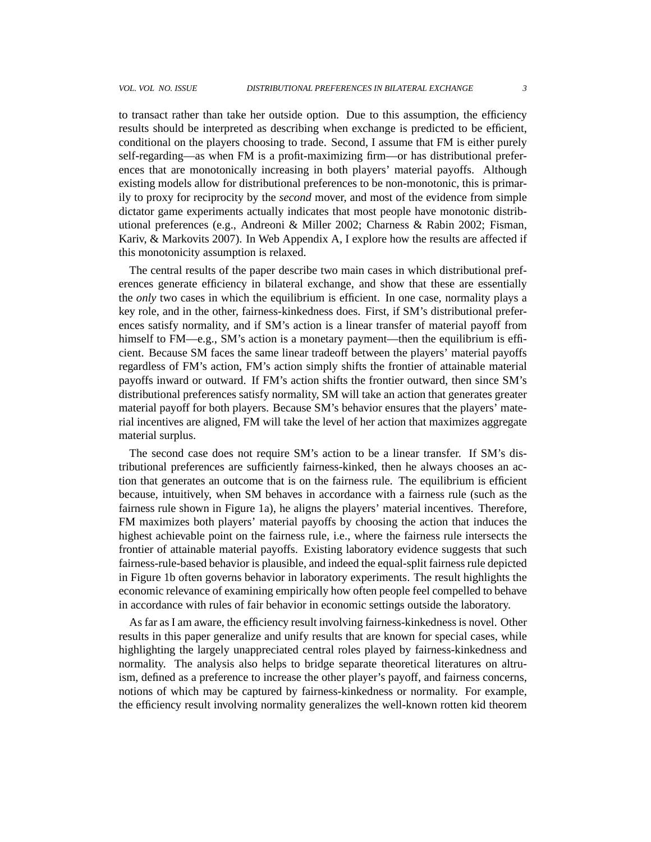to transact rather than take her outside option. Due to this assumption, the efficiency results should be interpreted as describing when exchange is predicted to be efficient, conditional on the players choosing to trade. Second, I assume that FM is either purely self-regarding—as when FM is a profit-maximizing firm—or has distributional preferences that are monotonically increasing in both players' material payoffs. Although existing models allow for distributional preferences to be non-monotonic, this is primarily to proxy for reciprocity by the *second* mover, and most of the evidence from simple dictator game experiments actually indicates that most people have monotonic distributional preferences (e.g., Andreoni & Miller 2002; Charness & Rabin 2002; Fisman, Kariv, & Markovits 2007). In Web Appendix A, I explore how the results are affected if this monotonicity assumption is relaxed.

The central results of the paper describe two main cases in which distributional preferences generate efficiency in bilateral exchange, and show that these are essentially the *only* two cases in which the equilibrium is efficient. In one case, normality plays a key role, and in the other, fairness-kinkedness does. First, if SM's distributional preferences satisfy normality, and if SM's action is a linear transfer of material payoff from himself to FM—e.g., SM's action is a monetary payment—then the equilibrium is efficient. Because SM faces the same linear tradeoff between the players' material payoffs regardless of FM's action, FM's action simply shifts the frontier of attainable material payoffs inward or outward. If FM's action shifts the frontier outward, then since SM's distributional preferences satisfy normality, SM will take an action that generates greater material payoff for both players. Because SM's behavior ensures that the players' material incentives are aligned, FM will take the level of her action that maximizes aggregate material surplus.

The second case does not require SM's action to be a linear transfer. If SM's distributional preferences are sufficiently fairness-kinked, then he always chooses an action that generates an outcome that is on the fairness rule. The equilibrium is efficient because, intuitively, when SM behaves in accordance with a fairness rule (such as the fairness rule shown in Figure 1a), he aligns the players' material incentives. Therefore, FM maximizes both players' material payoffs by choosing the action that induces the highest achievable point on the fairness rule, i.e., where the fairness rule intersects the frontier of attainable material payoffs. Existing laboratory evidence suggests that such fairness-rule-based behavior is plausible, and indeed the equal-split fairness rule depicted in Figure 1b often governs behavior in laboratory experiments. The result highlights the economic relevance of examining empirically how often people feel compelled to behave in accordance with rules of fair behavior in economic settings outside the laboratory.

As far as I am aware, the efficiency result involving fairness-kinkedness is novel. Other results in this paper generalize and unify results that are known for special cases, while highlighting the largely unappreciated central roles played by fairness-kinkedness and normality. The analysis also helps to bridge separate theoretical literatures on altruism, defined as a preference to increase the other player's payoff, and fairness concerns, notions of which may be captured by fairness-kinkedness or normality. For example, the efficiency result involving normality generalizes the well-known rotten kid theorem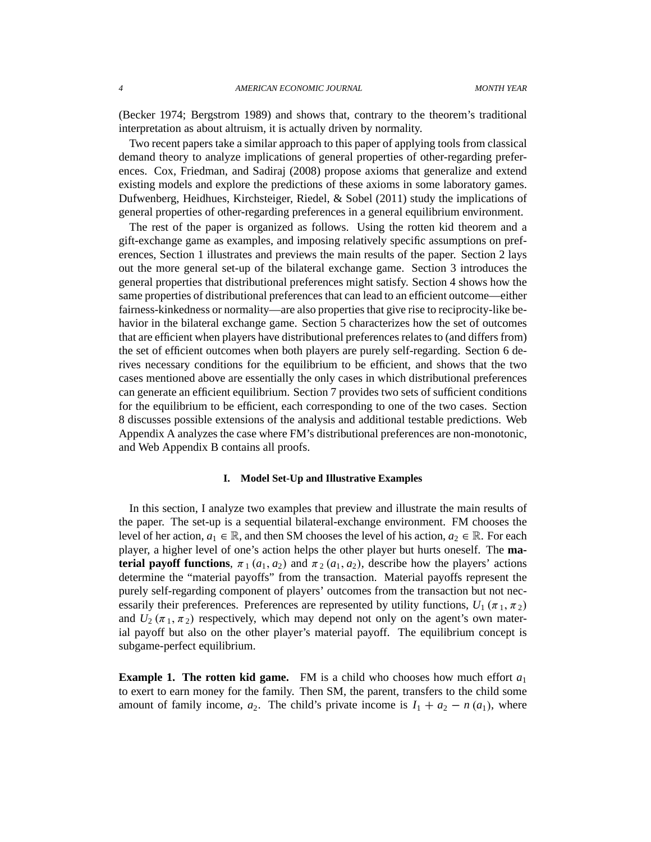(Becker 1974; Bergstrom 1989) and shows that, contrary to the theorem's traditional interpretation as about altruism, it is actually driven by normality.

Two recent papers take a similar approach to this paper of applying tools from classical demand theory to analyze implications of general properties of other-regarding preferences. Cox, Friedman, and Sadiraj (2008) propose axioms that generalize and extend existing models and explore the predictions of these axioms in some laboratory games. Dufwenberg, Heidhues, Kirchsteiger, Riedel, & Sobel (2011) study the implications of general properties of other-regarding preferences in a general equilibrium environment.

The rest of the paper is organized as follows. Using the rotten kid theorem and a gift-exchange game as examples, and imposing relatively specific assumptions on preferences, Section 1 illustrates and previews the main results of the paper. Section 2 lays out the more general set-up of the bilateral exchange game. Section 3 introduces the general properties that distributional preferences might satisfy. Section 4 shows how the same properties of distributional preferences that can lead to an efficient outcome—either fairness-kinkedness or normality—are also properties that give rise to reciprocity-like behavior in the bilateral exchange game. Section 5 characterizes how the set of outcomes that are efficient when players have distributional preferences relates to (and differs from) the set of efficient outcomes when both players are purely self-regarding. Section 6 derives necessary conditions for the equilibrium to be efficient, and shows that the two cases mentioned above are essentially the only cases in which distributional preferences can generate an efficient equilibrium. Section 7 provides two sets of sufficient conditions for the equilibrium to be efficient, each corresponding to one of the two cases. Section 8 discusses possible extensions of the analysis and additional testable predictions. Web Appendix A analyzes the case where FM's distributional preferences are non-monotonic, and Web Appendix B contains all proofs.

## **I. Model Set-Up and Illustrative Examples**

In this section, I analyze two examples that preview and illustrate the main results of the paper. The set-up is a sequential bilateral-exchange environment. FM chooses the level of her action,  $a_1 \in \mathbb{R}$ , and then SM chooses the level of his action,  $a_2 \in \mathbb{R}$ . For each player, a higher level of one's action helps the other player but hurts oneself. The **material payoff functions**,  $\pi_1$  ( $a_1$ ,  $a_2$ ) and  $\pi_2$  ( $a_1$ ,  $a_2$ ), describe how the players' actions determine the "material payoffs" from the transaction. Material payoffs represent the purely self-regarding component of players' outcomes from the transaction but not necessarily their preferences. Preferences are represented by utility functions,  $U_1(\pi_1, \pi_2)$ and  $U_2(\pi_1, \pi_2)$  respectively, which may depend not only on the agent's own material payoff but also on the other player's material payoff. The equilibrium concept is subgame-perfect equilibrium.

**Example 1. The rotten kid game.** FM is a child who chooses how much effort  $a_1$ to exert to earn money for the family. Then SM, the parent, transfers to the child some amount of family income,  $a_2$ . The child's private income is  $I_1 + a_2 - n(a_1)$ , where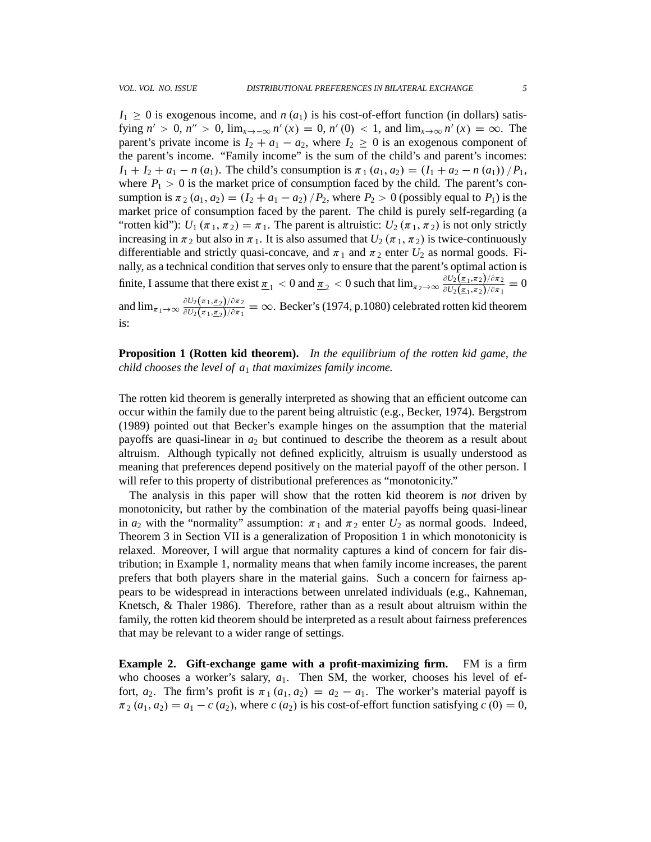is:

 $I_1 \geq 0$  is exogenous income, and *n*  $(a_1)$  is his cost-of-effort function (in dollars) satisfying  $n' > 0$ ,  $n'' > 0$ ,  $\lim_{x \to -\infty} n'(x) = 0$ ,  $n'(0) < 1$ , and  $\lim_{x \to \infty} n'(x) = \infty$ . The parent's private income is  $I_2 + a_1 - a_2$ , where  $I_2 \geq 0$  is an exogenous component of the parent's income. "Family income" is the sum of the child's and parent's incomes:  $I_1 + I_2 + a_1 - n(a_1)$ . The child's consumption is  $\pi_1(a_1, a_2) = (I_1 + a_2 - n(a_1)) / P_1$ , where  $P_1 > 0$  is the market price of consumption faced by the child. The parent's consumption is  $\pi_2$  ( $a_1$ ,  $a_2$ ) = ( $I_2$  +  $a_1$  –  $a_2$ ) / $P_2$ , where  $P_2 > 0$  (possibly equal to  $P_1$ ) is the market price of consumption faced by the parent. The child is purely self-regarding (a "rotten kid"):  $U_1(\pi_1, \pi_2) = \pi_1$ . The parent is altruistic:  $U_2(\pi_1, \pi_2)$  is not only strictly increasing in  $\pi_2$  but also in  $\pi_1$ . It is also assumed that  $U_2$  ( $\pi_1$ ,  $\pi_2$ ) is twice-continuously differentiable and strictly quasi-concave, and  $\pi_1$  and  $\pi_2$  enter  $U_2$  as normal goods. Finally, as a technical condition that serves only to ensure that the parent's optimal action is finite, I assume that there exist  $\underline{\pi}_1 < 0$  and  $\underline{\pi}_2 < 0$  such that  $\lim_{\pi_2 \to \infty} \frac{\partial U_2(\underline{\pi}_1, \pi_2)/\partial \pi_2}{\partial U_2(\underline{\pi}_1, \pi_2)/\partial \pi_1}$  $\frac{\partial U_2(\underline{\pi}_1,\pi_2)/\partial \pi_2}{\partial U_2(\underline{\pi}_1,\pi_2)/\partial \pi_1}=0$ and  $\lim_{\pi_1 \to \infty} \frac{\partial U_2(\pi_1, \pi_2)/\partial \pi_2}{\partial U_2(\pi_1, \pi_2)/\partial \pi_1}$  $\frac{\partial U_2(\pi_1,\underline{\pi_2})/\partial \pi_2}{\partial U_2(\pi_1,\underline{\pi_2})/\partial \pi_1} = \infty$ . Becker's (1974, p.1080) celebrated rotten kid theorem

**Proposition 1 (Rotten kid theorem).** *In the equilibrium of the rotten kid game, the child chooses the level of a*<sup>1</sup> *that maximizes family income.*

The rotten kid theorem is generally interpreted as showing that an efficient outcome can occur within the family due to the parent being altruistic (e.g., Becker, 1974). Bergstrom (1989) pointed out that Becker's example hinges on the assumption that the material payoffs are quasi-linear in  $a_2$  but continued to describe the theorem as a result about altruism. Although typically not defined explicitly, altruism is usually understood as meaning that preferences depend positively on the material payoff of the other person. I will refer to this property of distributional preferences as "monotonicity."

The analysis in this paper will show that the rotten kid theorem is *not* driven by monotonicity, but rather by the combination of the material payoffs being quasi-linear in  $a_2$  with the "normality" assumption:  $\pi_1$  and  $\pi_2$  enter  $U_2$  as normal goods. Indeed, Theorem 3 in Section VII is a generalization of Proposition 1 in which monotonicity is relaxed. Moreover, I will argue that normality captures a kind of concern for fair distribution; in Example 1, normality means that when family income increases, the parent prefers that both players share in the material gains. Such a concern for fairness appears to be widespread in interactions between unrelated individuals (e.g., Kahneman, Knetsch, & Thaler 1986). Therefore, rather than as a result about altruism within the family, the rotten kid theorem should be interpreted as a result about fairness preferences that may be relevant to a wider range of settings.

**Example 2. Gift-exchange game with a profit-maximizing firm.** FM is a firm who chooses a worker's salary,  $a_1$ . Then SM, the worker, chooses his level of effort,  $a_2$ . The firm's profit is  $\pi_1(a_1, a_2) = a_2 - a_1$ . The worker's material payoff is  $\pi_2$   $(a_1, a_2) = a_1 - c$   $(a_2)$ , where  $c$   $(a_2)$  is his cost-of-effort function satisfying  $c$   $(0) = 0$ ,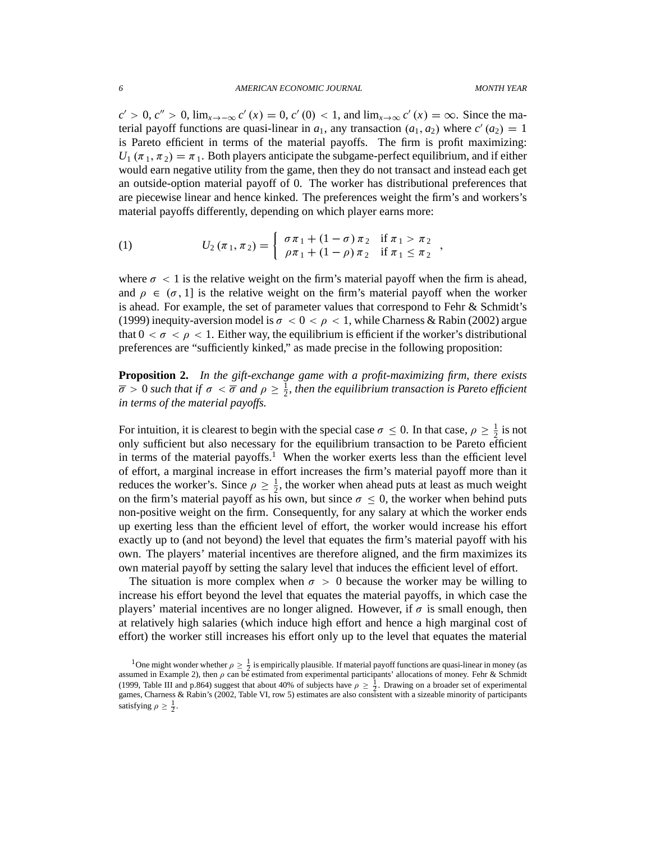;

 $c' > 0$ ,  $c'' > 0$ ,  $\lim_{x \to -\infty} c'(x) = 0$ ,  $c'(0) < 1$ , and  $\lim_{x \to \infty} c'(x) = \infty$ . Since the material payoff functions are quasi-linear in  $a_1$ , any transaction  $(a_1, a_2)$  where  $c'(a_2) = 1$ is Pareto efficient in terms of the material payoffs. The firm is profit maximizing:  $U_1$  ( $\pi_1$ ,  $\pi_2$ ) =  $\pi_1$ . Both players anticipate the subgame-perfect equilibrium, and if either would earn negative utility from the game, then they do not transact and instead each get an outside-option material payoff of 0. The worker has distributional preferences that are piecewise linear and hence kinked. The preferences weight the firm's and workers's material payoffs differently, depending on which player earns more:

(1) 
$$
U_2(\pi_1, \pi_2) = \begin{cases} \sigma \pi_1 + (1 - \sigma) \pi_2 & \text{if } \pi_1 > \pi_2 \\ \rho \pi_1 + (1 - \rho) \pi_2 & \text{if } \pi_1 \leq \pi_2 \end{cases}
$$

where  $\sigma$  < 1 is the relative weight on the firm's material payoff when the firm is ahead, and  $\rho \in (\sigma, 1]$  is the relative weight on the firm's material payoff when the worker is ahead. For example, the set of parameter values that correspond to Fehr & Schmidt's (1999) inequity-aversion model is  $\sigma < 0 < \rho < 1$ , while Charness & Rabin (2002) argue that  $0 < \sigma < \rho < 1$ . Either way, the equilibrium is efficient if the worker's distributional preferences are "sufficiently kinked," as made precise in the following proposition:

**Proposition 2.** *In the gift-exchange game with a profit-maximizing firm, there exists*  $\overline{\sigma} > 0$  such that if  $\sigma < \overline{\sigma}$  and  $\rho \geq \frac{1}{2}$  $\frac{1}{2}$ , then the equilibrium transaction is Pareto efficient *in terms of the material payoffs.*

For intuition, it is clearest to begin with the special case  $\sigma \le 0$ . In that case,  $\rho \ge \frac{1}{2}$  $\frac{1}{2}$  is not only sufficient but also necessary for the equilibrium transaction to be Pareto efficient in terms of the material payoffs.<sup>1</sup> When the worker exerts less than the efficient level of effort, a marginal increase in effort increases the firm's material payoff more than it reduces the worker's. Since  $\rho \geq \frac{1}{2}$  $\frac{1}{2}$ , the worker when ahead puts at least as much weight on the firm's material payoff as his own, but since  $\sigma \leq 0$ , the worker when behind puts non-positive weight on the firm. Consequently, for any salary at which the worker ends up exerting less than the efficient level of effort, the worker would increase his effort exactly up to (and not beyond) the level that equates the firm's material payoff with his own. The players' material incentives are therefore aligned, and the firm maximizes its own material payoff by setting the salary level that induces the efficient level of effort.

The situation is more complex when  $\sigma > 0$  because the worker may be willing to increase his effort beyond the level that equates the material payoffs, in which case the players' material incentives are no longer aligned. However, if  $\sigma$  is small enough, then at relatively high salaries (which induce high effort and hence a high marginal cost of effort) the worker still increases his effort only up to the level that equates the material

<sup>&</sup>lt;sup>1</sup>One might wonder whether  $\rho \geq \frac{1}{2}$  is empirically plausible. If material payoff functions are quasi-linear in money (as assumed in Example 2), then  $\rho$  can be estimated from experimental participants' allocations of money. Fehr & Schmidt (1999, Table III and p.864) suggest that about 40% of subjects have  $\rho \geq \frac{1}{2}$ . Drawing on a broader set of experimental games, Charness & Rabin's (2002, Table VI, row 5) estimates are also consistent with a sizeable minority of participants satisfying  $\rho \geq \frac{1}{2}$ .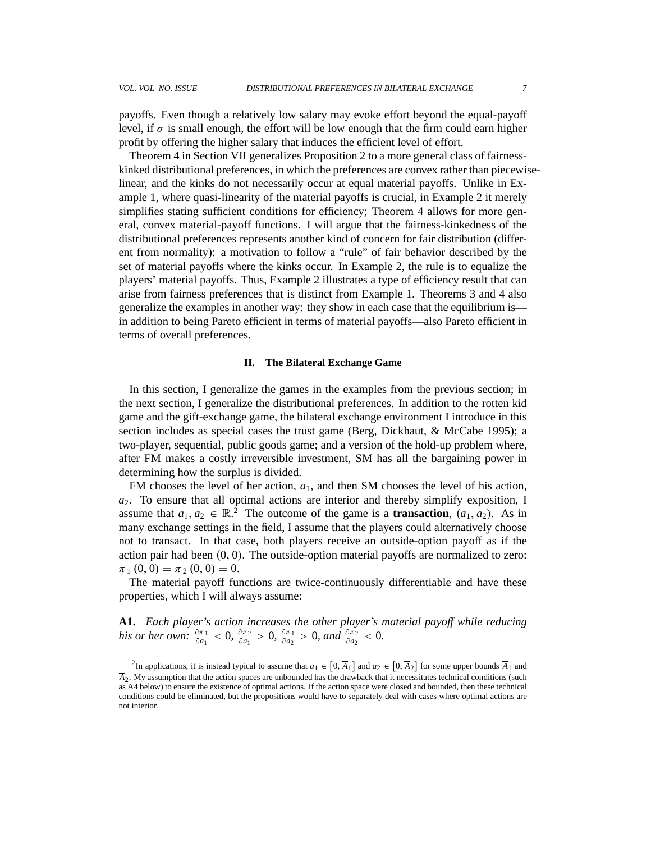payoffs. Even though a relatively low salary may evoke effort beyond the equal-payoff level, if  $\sigma$  is small enough, the effort will be low enough that the firm could earn higher profit by offering the higher salary that induces the efficient level of effort.

Theorem 4 in Section VII generalizes Proposition 2 to a more general class of fairnesskinked distributional preferences, in which the preferences are convex rather than piecewiselinear, and the kinks do not necessarily occur at equal material payoffs. Unlike in Example 1, where quasi-linearity of the material payoffs is crucial, in Example 2 it merely simplifies stating sufficient conditions for efficiency; Theorem 4 allows for more general, convex material-payoff functions. I will argue that the fairness-kinkedness of the distributional preferences represents another kind of concern for fair distribution (different from normality): a motivation to follow a "rule" of fair behavior described by the set of material payoffs where the kinks occur. In Example 2, the rule is to equalize the players' material payoffs. Thus, Example 2 illustrates a type of efficiency result that can arise from fairness preferences that is distinct from Example 1. Theorems 3 and 4 also generalize the examples in another way: they show in each case that the equilibrium is in addition to being Pareto efficient in terms of material payoffs—also Pareto efficient in terms of overall preferences.

## **II. The Bilateral Exchange Game**

In this section, I generalize the games in the examples from the previous section; in the next section, I generalize the distributional preferences. In addition to the rotten kid game and the gift-exchange game, the bilateral exchange environment I introduce in this section includes as special cases the trust game (Berg, Dickhaut, & McCabe 1995); a two-player, sequential, public goods game; and a version of the hold-up problem where, after FM makes a costly irreversible investment, SM has all the bargaining power in determining how the surplus is divided.

FM chooses the level of her action,  $a_1$ , and then SM chooses the level of his action, *a*2. To ensure that all optimal actions are interior and thereby simplify exposition, I assume that  $a_1, a_2 \in \mathbb{R}^2$ . The outcome of the game is a **transaction**,  $(a_1, a_2)$ . As in many exchange settings in the field, I assume that the players could alternatively choose not to transact. In that case, both players receive an outside-option payoff as if the action pair had been  $(0, 0)$ . The outside-option material payoffs are normalized to zero:  $\pi_1$   $(0, 0) = \pi_2$   $(0, 0) = 0$ .

The material payoff functions are twice-continuously differentiable and have these properties, which I will always assume:

**A1.** *Each player's action increases the other player's material payoff while reducing his or her own:*  $\frac{\partial \pi_1}{\partial a_1} < 0$ ,  $\frac{\partial \pi_2}{\partial a_1}$  $\frac{\partial \pi_2}{\partial a_1} > 0$ ,  $\frac{\partial \pi_1}{\partial a_2}$  $\frac{\partial \pi_1}{\partial a_2} > 0$ , and  $\frac{\partial \pi_2}{\partial a_2} < 0$ .

<sup>&</sup>lt;sup>2</sup>In applications, it is instead typical to assume that  $a_1 \in [0, \overline{A}_1]$  and  $a_2 \in [0, \overline{A}_2]$  for some upper bounds  $\overline{A}_1$  and  $\overline{A}_2$ . My assumption that the action spaces are unbounded has the drawback that it necessitates technical conditions (such as A4 below) to ensure the existence of optimal actions. If the action space were closed and bounded, then these technical conditions could be eliminated, but the propositions would have to separately deal with cases where optimal actions are not interior.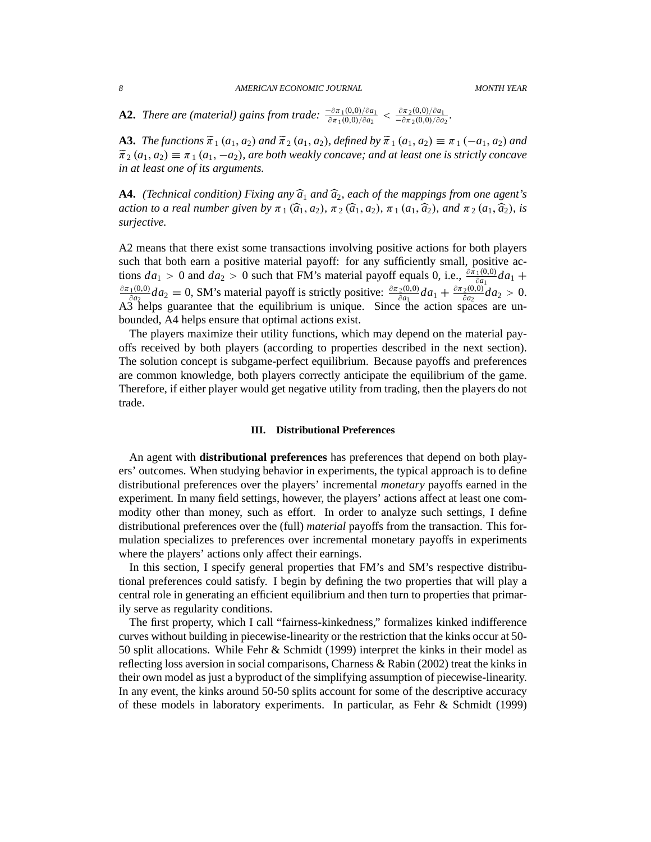**A2.** *There are (material) gains from trade:*  $\frac{-\partial \pi_1(0,0)/\partial a_1}{\partial \pi_1(0,0)/\partial a_2} < \frac{\partial \pi_2(0,0)/\partial a_1}{-\partial \pi_2(0,0)/\partial a_2}$  $\frac{\partial \pi_2(0,0)/\partial a_1}{-\partial \pi_2(0,0)/\partial a_2}$ .

**A3.** *The functions*  $\tilde{\pi}_1$   $(a_1, a_2)$  *and*  $\tilde{\pi}_2$   $(a_1, a_2)$ *, defined by*  $\tilde{\pi}_1$   $(a_1, a_2) \equiv \pi_1 (-a_1, a_2)$  *and*  $\tilde{\pi}_2(a_1, a_2) \equiv \pi_1(a_1, -a_2)$ , are both weakly concave; and at least one is strictly concave *in at least one of its arguments.*

**A4.** *(Technical condition) Fixing any*  $\hat{a}_1$  *and*  $\hat{a}_2$ *, each of the mappings from one agent's action to a real number given by*  $\pi_1(\widehat{a}_1, a_2)$ ,  $\pi_2(\widehat{a}_1, a_2)$ ,  $\pi_1(a_1, \widehat{a}_2)$ , and  $\pi_2(a_1, \widehat{a}_2)$ , is *surjective.*

A2 means that there exist some transactions involving positive actions for both players such that both earn a positive material payoff: for any sufficiently small, positive actions  $da_1 > 0$  and  $da_2 > 0$  such that FM's material payoff equals 0, i.e.,  $\frac{\partial \bar{\pi}_1(0,0)}{\partial a_1} da_1 + \frac{\partial \bar{\pi}_2(0,0)}{\partial a_2} da_2$  $\partial\pi_{1}(0,0)$  $\frac{d^2(0,0)}{d^2a^2}da_2=0$ , SM's material payoff is strictly positive:  $\frac{\partial \pi_2(0,0)}{\partial a_1}da_1+\frac{\partial \pi_2(0,0)}{\partial a_2}da_2$  $\frac{2(0,0)}{\partial a_2}da_2 > 0.$ A3 helps guarantee that the equilibrium is unique. Since the action spaces are unbounded, A4 helps ensure that optimal actions exist.

The players maximize their utility functions, which may depend on the material payoffs received by both players (according to properties described in the next section). The solution concept is subgame-perfect equilibrium. Because payoffs and preferences are common knowledge, both players correctly anticipate the equilibrium of the game. Therefore, if either player would get negative utility from trading, then the players do not trade.

#### **III. Distributional Preferences**

An agent with **distributional preferences** has preferences that depend on both players' outcomes. When studying behavior in experiments, the typical approach is to define distributional preferences over the players' incremental *monetary* payoffs earned in the experiment. In many field settings, however, the players' actions affect at least one commodity other than money, such as effort. In order to analyze such settings, I define distributional preferences over the (full) *material* payoffs from the transaction. This formulation specializes to preferences over incremental monetary payoffs in experiments where the players' actions only affect their earnings.

In this section, I specify general properties that FM's and SM's respective distributional preferences could satisfy. I begin by defining the two properties that will play a central role in generating an efficient equilibrium and then turn to properties that primarily serve as regularity conditions.

The first property, which I call "fairness-kinkedness," formalizes kinked indifference curves without building in piecewise-linearity or the restriction that the kinks occur at 50- 50 split allocations. While Fehr & Schmidt (1999) interpret the kinks in their model as reflecting loss aversion in social comparisons, Charness & Rabin (2002) treat the kinks in their own model as just a byproduct of the simplifying assumption of piecewise-linearity. In any event, the kinks around 50-50 splits account for some of the descriptive accuracy of these models in laboratory experiments. In particular, as Fehr & Schmidt (1999)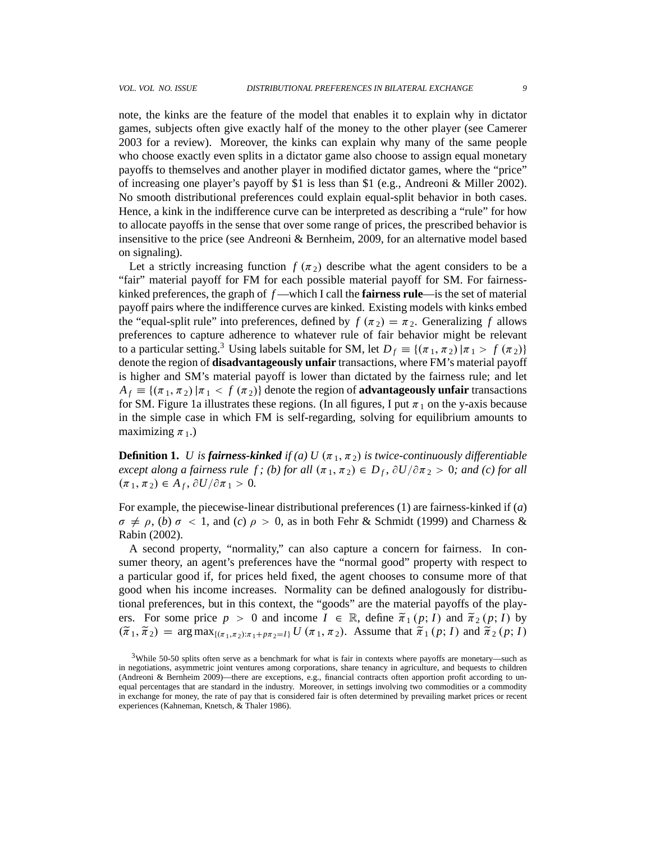note, the kinks are the feature of the model that enables it to explain why in dictator games, subjects often give exactly half of the money to the other player (see Camerer 2003 for a review). Moreover, the kinks can explain why many of the same people who choose exactly even splits in a dictator game also choose to assign equal monetary payoffs to themselves and another player in modified dictator games, where the "price" of increasing one player's payoff by \$1 is less than \$1 (e.g., Andreoni & Miller 2002). No smooth distributional preferences could explain equal-split behavior in both cases. Hence, a kink in the indifference curve can be interpreted as describing a "rule" for how to allocate payoffs in the sense that over some range of prices, the prescribed behavior is insensitive to the price (see Andreoni & Bernheim, 2009, for an alternative model based on signaling).

Let a strictly increasing function  $f(\pi_2)$  describe what the agent considers to be a "fair" material payoff for FM for each possible material payoff for SM. For fairnesskinked preferences, the graph of *f* —which I call the **fairness rule**—is the set of material payoff pairs where the indifference curves are kinked. Existing models with kinks embed the "equal-split rule" into preferences, defined by  $f(\pi_2) = \pi_2$ . Generalizing f allows preferences to capture adherence to whatever rule of fair behavior might be relevant to a particular setting.<sup>3</sup> Using labels suitable for SM, let  $D_f \equiv \{(\pi_1, \pi_2) | \pi_1 > f(\pi_2)\}\$ denote the region of **disadvantageously unfair** transactions, where FM's material payoff is higher and SM's material payoff is lower than dictated by the fairness rule; and let  $A_f \equiv \{(\pi_1, \pi_2) | \pi_1 < f(\pi_2)\}\$  denote the region of **advantageously unfair** transactions for SM. Figure 1a illustrates these regions. (In all figures, I put  $\pi_1$  on the y-axis because in the simple case in which FM is self-regarding, solving for equilibrium amounts to maximizing  $\pi_1$ .)

**Definition 1.** *U is fairness-kinked if (a) U (* $\pi_1$ *,*  $\pi_2$ *) is twice-continuously differentiable except along a fairness rule f; (b) for all*  $(\pi_1, \pi_2) \in D_f$ ,  $\partial U / \partial \pi_2 > 0$ *; and (c) for all*  $(\pi_1, \pi_2) \in A_f, \partial U / \partial \pi_1 > 0.$ 

For example, the piecewise-linear distributional preferences (1) are fairness-kinked if (*a*)  $\sigma \neq \rho$ , (*b*)  $\sigma < 1$ , and (*c*)  $\rho > 0$ , as in both Fehr & Schmidt (1999) and Charness & Rabin (2002).

A second property, "normality," can also capture a concern for fairness. In consumer theory, an agent's preferences have the "normal good" property with respect to a particular good if, for prices held fixed, the agent chooses to consume more of that good when his income increases. Normality can be defined analogously for distributional preferences, but in this context, the "goods" are the material payoffs of the players. For some price  $p > 0$  and income  $I \in \mathbb{R}$ , define  $\tilde{\pi}_1(p; I)$  and  $\tilde{\pi}_2(p; I)$  by  $(\tilde{\pi}_1, \tilde{\pi}_2)$  = arg max<sub> $\{(\pi_1, \pi_2): \pi_1 + p\pi_2 = I\}$  *U*  $(\pi_1, \pi_2)$ . Assume that  $\tilde{\pi}_1(p; I)$  and  $\tilde{\pi}_2(p; I)$ </sub>

<sup>3</sup>While 50-50 splits often serve as a benchmark for what is fair in contexts where payoffs are monetary—such as in negotiations, asymmetric joint ventures among corporations, share tenancy in agriculture, and bequests to children (Andreoni & Bernheim 2009)—there are exceptions, e.g., financial contracts often apportion profit according to unequal percentages that are standard in the industry. Moreover, in settings involving two commodities or a commodity in exchange for money, the rate of pay that is considered fair is often determined by prevailing market prices or recent experiences (Kahneman, Knetsch, & Thaler 1986).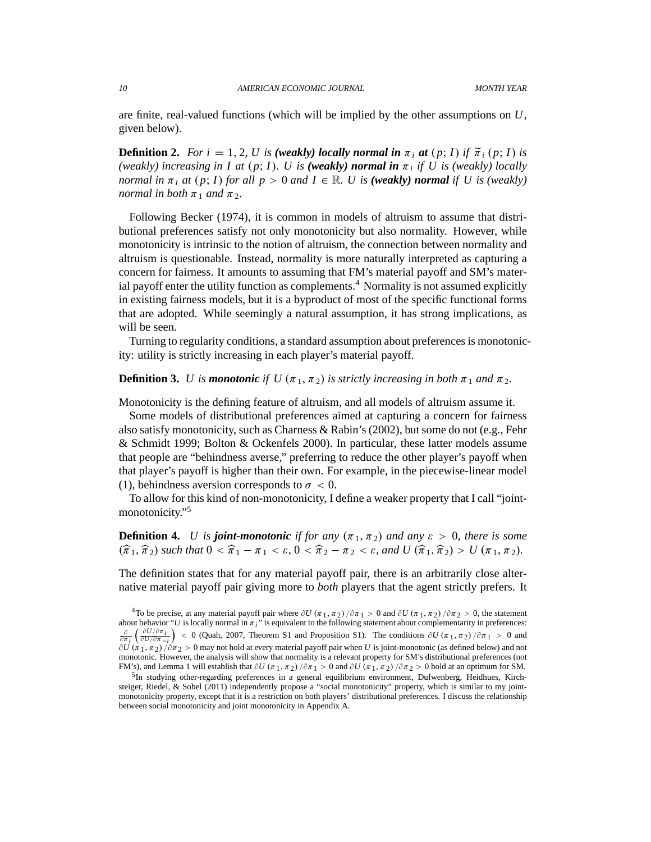are finite, real-valued functions (which will be implied by the other assumptions on *U*, given below).

**Definition 2.** For  $i = 1, 2, U$  is (weakly) locally normal in  $\pi_i$  at  $(p; I)$  if  $\tilde{\pi}_i(p; I)$  is *(weakly) increasing in I at*  $(p; I)$ *. U is <i>(weakly) normal in*  $\pi_i$  *if U is (weakly) locally normal in*  $\pi_i$  *at*  $(p; I)$  *for all*  $p > 0$  *and*  $I \in \mathbb{R}$ *. U is (weakly) normal if U is (weakly) normal in both*  $\pi_1$  *and*  $\pi_2$ *.* 

Following Becker (1974), it is common in models of altruism to assume that distributional preferences satisfy not only monotonicity but also normality. However, while monotonicity is intrinsic to the notion of altruism, the connection between normality and altruism is questionable. Instead, normality is more naturally interpreted as capturing a concern for fairness. It amounts to assuming that FM's material payoff and SM's material payoff enter the utility function as complements.<sup>4</sup> Normality is not assumed explicitly in existing fairness models, but it is a byproduct of most of the specific functional forms that are adopted. While seemingly a natural assumption, it has strong implications, as will be seen.

Turning to regularity conditions, a standard assumption about preferences is monotonicity: utility is strictly increasing in each player's material payoff.

**Definition 3.** *U* is **monotonic** if  $U(\pi_1, \pi_2)$  is strictly increasing in both  $\pi_1$  and  $\pi_2$ .

Monotonicity is the defining feature of altruism, and all models of altruism assume it.

Some models of distributional preferences aimed at capturing a concern for fairness also satisfy monotonicity, such as Charness & Rabin's (2002), but some do not (e.g., Fehr & Schmidt 1999; Bolton & Ockenfels 2000). In particular, these latter models assume that people are "behindness averse," preferring to reduce the other player's payoff when that player's payoff is higher than their own. For example, in the piecewise-linear model (1), behindness aversion corresponds to  $\sigma < 0$ .

To allow for this kind of non-monotonicity, I define a weaker property that I call "jointmonotonicity."<sup>5</sup>

**Definition 4.** *U* is *joint-monotonic* if for any  $(\pi_1, \pi_2)$  and any  $\varepsilon > 0$ , there is some  $(\widehat{\pi}_1, \widehat{\pi}_2)$  such that  $0 < \widehat{\pi}_1 - \pi_1 < \varepsilon$ ,  $0 < \widehat{\pi}_2 - \pi_2 < \varepsilon$ , and  $U(\widehat{\pi}_1, \widehat{\pi}_2) > U(\pi_1, \pi_2)$ .

The definition states that for any material payoff pair, there is an arbitrarily close alternative material payoff pair giving more to *both* players that the agent strictly prefers. It

<sup>&</sup>lt;sup>4</sup>To be precise, at any material payoff pair where  $\partial U(\pi_1, \pi_2)/\partial \pi_1 > 0$  and  $\partial U(\pi_1, \pi_2)/\partial \pi_2 > 0$ , the statement about behavior "*U* is locally normal in  $\pi_i$ " is equivalent to the following statement about complementarity in preferences:  $\frac{\partial}{\partial \pi}$  $\left(\frac{\partial U/\partial \pi_i}{\partial U/\partial \pi_{-i}}\right)$  $= 0$  (Quah, 2007, Theorem S1 and Proposition S1). The conditions  $\partial U(\pi_1, \pi_2)/\partial \pi_1 > 0$  and  $\partial U(\pi_1, \pi_2)/\partial \pi_2 > 0$  may not hold at every material payoff pair when *U* is joint-monotonic (as defined below) and not monotonic. However, the analysis will show that normality is a relevant property for SM's distributional preferences (not FM's), and Lemma 1 will establish that  $\partial U(\pi_1, \pi_2) / \partial \pi_1 > 0$  and  $\partial U(\pi_1, \pi_2) / \partial \pi_2 > 0$  hold at an optimum for SM.

<sup>&</sup>lt;sup>5</sup>In studying other-regarding preferences in a general equilibrium environment, Dufwenberg, Heidhues, Kirchsteiger, Riedel, & Sobel (2011) independently propose a "social monotonicity" property, which is similar to my jointmonotonicity property, except that it is a restriction on both players' distributional preferences. I discuss the relationship between social monotonicity and joint monotonicity in Appendix A.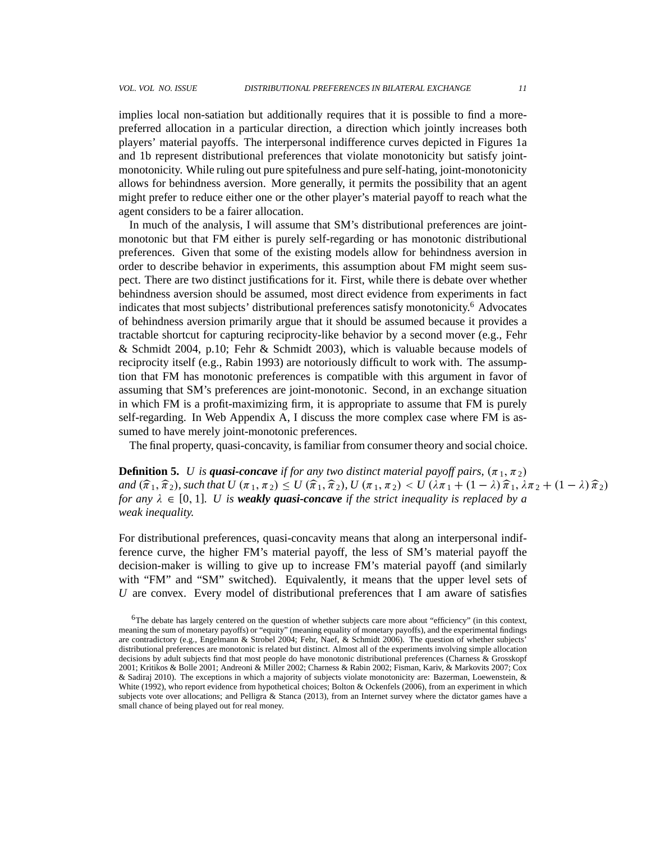implies local non-satiation but additionally requires that it is possible to find a morepreferred allocation in a particular direction, a direction which jointly increases both players' material payoffs. The interpersonal indifference curves depicted in Figures 1a and 1b represent distributional preferences that violate monotonicity but satisfy jointmonotonicity. While ruling out pure spitefulness and pure self-hating, joint-monotonicity allows for behindness aversion. More generally, it permits the possibility that an agent might prefer to reduce either one or the other player's material payoff to reach what the agent considers to be a fairer allocation.

In much of the analysis, I will assume that SM's distributional preferences are jointmonotonic but that FM either is purely self-regarding or has monotonic distributional preferences. Given that some of the existing models allow for behindness aversion in order to describe behavior in experiments, this assumption about FM might seem suspect. There are two distinct justifications for it. First, while there is debate over whether behindness aversion should be assumed, most direct evidence from experiments in fact indicates that most subjects' distributional preferences satisfy monotonicity.<sup>6</sup> Advocates of behindness aversion primarily argue that it should be assumed because it provides a tractable shortcut for capturing reciprocity-like behavior by a second mover (e.g., Fehr & Schmidt 2004, p.10; Fehr & Schmidt 2003), which is valuable because models of reciprocity itself (e.g., Rabin 1993) are notoriously difficult to work with. The assumption that FM has monotonic preferences is compatible with this argument in favor of assuming that SM's preferences are joint-monotonic. Second, in an exchange situation in which FM is a profit-maximizing firm, it is appropriate to assume that FM is purely self-regarding. In Web Appendix A, I discuss the more complex case where FM is assumed to have merely joint-monotonic preferences.

The final property, quasi-concavity, is familiar from consumer theory and social choice.

**Definition 5.** *U is quasi-concave if for any two distinct material payoff pairs,*  $(\pi_1, \pi_2)$ *and*  $(\widehat{\pi}_1, \widehat{\pi}_2)$ , such that  $U(\pi_1, \pi_2) \leq U(\widehat{\pi}_1, \widehat{\pi}_2)$ ,  $U(\pi_1, \pi_2) < U(\lambda \pi_1 + (1 - \lambda)\widehat{\pi}_1, \lambda \pi_2 + (1 - \lambda)\widehat{\pi}_2)$ *for any*  $\lambda \in [0, 1]$ *. U is weakly quasi-concave if the strict inequality is replaced by a weak inequality.*

For distributional preferences, quasi-concavity means that along an interpersonal indifference curve, the higher FM's material payoff, the less of SM's material payoff the decision-maker is willing to give up to increase FM's material payoff (and similarly with "FM" and "SM" switched). Equivalently, it means that the upper level sets of *U* are convex. Every model of distributional preferences that I am aware of satisfies

<sup>6</sup>The debate has largely centered on the question of whether subjects care more about "efficiency" (in this context, meaning the sum of monetary payoffs) or "equity" (meaning equality of monetary payoffs), and the experimental findings are contradictory (e.g., Engelmann & Strobel 2004; Fehr, Naef, & Schmidt 2006). The question of whether subjects' distributional preferences are monotonic is related but distinct. Almost all of the experiments involving simple allocation decisions by adult subjects find that most people do have monotonic distributional preferences (Charness & Grosskopf 2001; Kritikos & Bolle 2001; Andreoni & Miller 2002; Charness & Rabin 2002; Fisman, Kariv, & Markovits 2007; Cox & Sadiraj 2010). The exceptions in which a majority of subjects violate monotonicity are: Bazerman, Loewenstein, & White (1992), who report evidence from hypothetical choices; Bolton & Ockenfels (2006), from an experiment in which subjects vote over allocations; and Pelligra & Stanca (2013), from an Internet survey where the dictator games have a small chance of being played out for real money.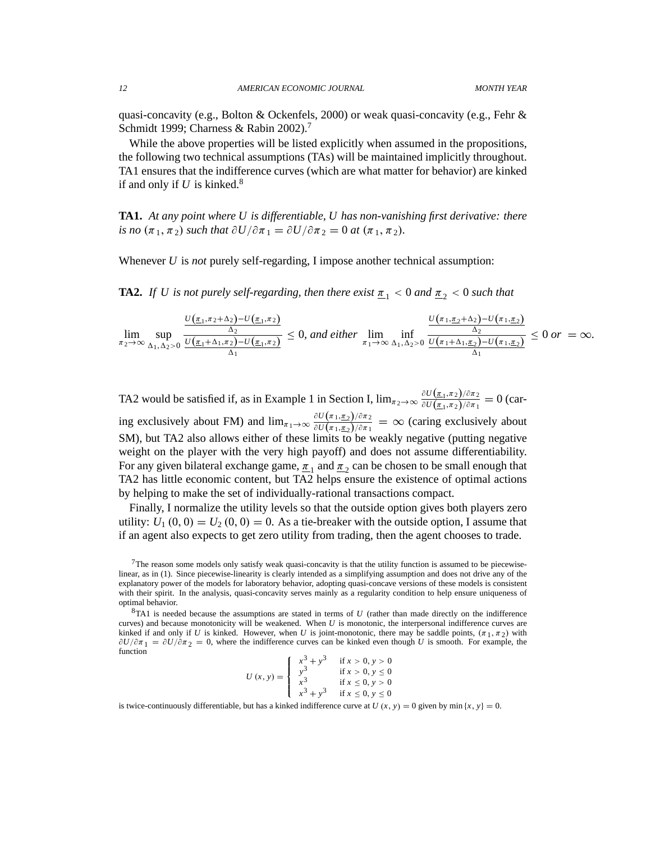quasi-concavity (e.g., Bolton & Ockenfels, 2000) or weak quasi-concavity (e.g., Fehr  $\&$ Schmidt 1999; Charness & Rabin 2002).<sup>7</sup>

While the above properties will be listed explicitly when assumed in the propositions, the following two technical assumptions (TAs) will be maintained implicitly throughout. TA1 ensures that the indifference curves (which are what matter for behavior) are kinked if and only if  $U$  is kinked.<sup>8</sup>

**TA1.** *At any point where U is differentiable, U has non-vanishing first derivative: there is no*  $(\pi_1, \pi_2)$  *such that*  $\partial U / \partial \pi_1 = \partial U / \partial \pi_2 = 0$  *at*  $(\pi_1, \pi_2)$ *.* 

Whenever *U* is *not* purely self-regarding, I impose another technical assumption:

**TA2.** *If U is not purely self-regarding, then there exist*  $\pi_1 < 0$  *and*  $\pi_2 < 0$  *such that* 

$$
\lim_{\pi_2 \to \infty} \sup_{\Delta_1, \Delta_2 > 0} \frac{\frac{U(\pi_1, \pi_2 + \Delta_2) - U(\pi_1, \pi_2)}{\Delta_2}}{\frac{U(\pi_1 + \Delta_1, \pi_2) - U(\pi_1, \pi_2)}{\Delta_1}} \le 0, \text{ and either } \lim_{\pi_1 \to \infty} \inf_{\Delta_1, \Delta_2 > 0} \frac{\frac{U(\pi_1, \pi_2 + \Delta_2) - U(\pi_1, \pi_2)}{\Delta_2}}{\frac{U(\pi_1 + \Delta_1, \pi_2) - U(\pi_1, \pi_2)}{\Delta_1}} \le 0 \text{ or } = \infty.
$$

TA2 would be satisfied if, as in Example 1 in Section I,  $\lim_{\pi_2 \to \infty} \frac{\partial U(\pi_1, \pi_2)/\partial \pi_2}{\partial U(\pi_1, \pi_2)/\partial \pi_1}$  $\frac{\partial U(\underline{\pi}_1,\pi_2)/\partial \pi_2}{\partial U(\underline{\pi}_1,\pi_2)/\partial \pi_1} = 0$  (caring exclusively about FM) and  $\lim_{\pi_1 \to \infty} \frac{\partial U(\pi_1, \pi_2)/\partial \pi_2}{\partial U(\pi_1, \pi_2)/\partial \pi_1}$  $\frac{\partial U(x_1, x_2)/\partial x_1}{\partial U(x_1, x_2)/\partial x_1} = \infty$  (caring exclusively about SM), but TA2 also allows either of these limits to be weakly negative (putting negative weight on the player with the very high payoff) and does not assume differentiability. For any given bilateral exchange game,  $\underline{\pi}_1$  and  $\underline{\pi}_2$  can be chosen to be small enough that TA2 has little economic content, but TA2 helps ensure the existence of optimal actions by helping to make the set of individually-rational transactions compact.

Finally, I normalize the utility levels so that the outside option gives both players zero utility:  $U_1(0, 0) = U_2(0, 0) = 0$ . As a tie-breaker with the outside option, I assume that if an agent also expects to get zero utility from trading, then the agent chooses to trade.

<sup>8</sup>TA1 is needed because the assumptions are stated in terms of *U* (rather than made directly on the indifference curves) and because monotonicity will be weakened. When *U* is monotonic, the interpersonal indifference curves are kinked if and only if *U* is kinked. However, when *U* is joint-monotonic, there may be saddle points,  $(\pi_1, \pi_2)$  with  $\partial U/\partial \pi_1 = \partial U/\partial \pi_2 = 0$ , where the indifference curves can be kinked even though *U* is smooth. For example, the function

| $U(x, y) = \begin{cases} y^3 \\ x^3 \end{cases}$ | $\int \frac{x^3}{3} + y^3$<br>$x^3 + y^3$ | if $x > 0, y > 0$<br>if $x > 0, y \le 0$<br>if $x \le 0, y > 0$<br>if $x \leq 0, y \leq 0$ |
|--------------------------------------------------|-------------------------------------------|--------------------------------------------------------------------------------------------|
|                                                  |                                           |                                                                                            |

is twice-continuously differentiable, but has a kinked indifference curve at *U*  $(x, y) = 0$  given by min  $\{x, y\} = 0$ .

<sup>7</sup>The reason some models only satisfy weak quasi-concavity is that the utility function is assumed to be piecewiselinear, as in (1). Since piecewise-linearity is clearly intended as a simplifying assumption and does not drive any of the explanatory power of the models for laboratory behavior, adopting quasi-concave versions of these models is consistent with their spirit. In the analysis, quasi-concavity serves mainly as a regularity condition to help ensure uniqueness of optimal behavior.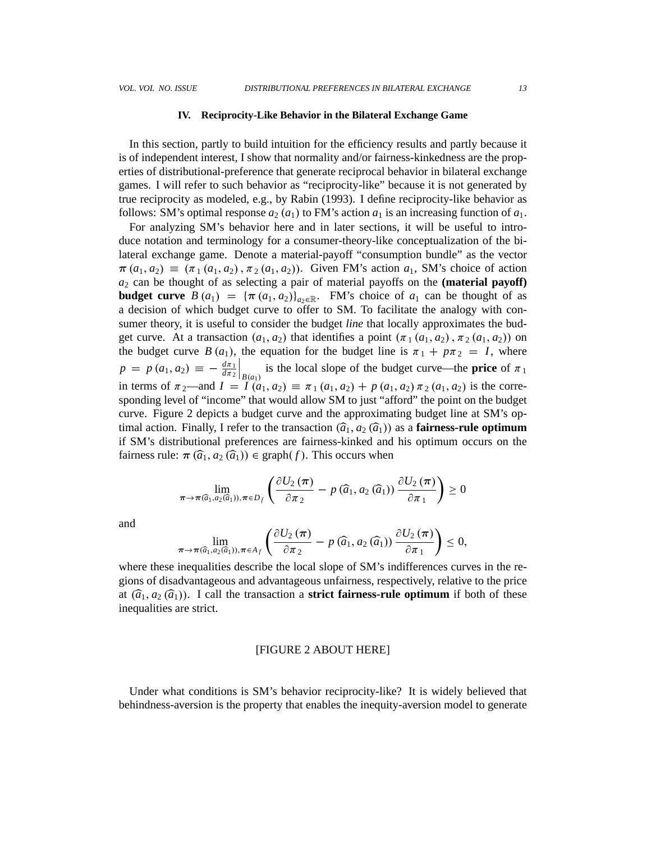#### **IV. Reciprocity-Like Behavior in the Bilateral Exchange Game**

In this section, partly to build intuition for the efficiency results and partly because it is of independent interest, I show that normality and/or fairness-kinkedness are the properties of distributional-preference that generate reciprocal behavior in bilateral exchange games. I will refer to such behavior as "reciprocity-like" because it is not generated by true reciprocity as modeled, e.g., by Rabin (1993). I define reciprocity-like behavior as follows: SM's optimal response  $a_2(a_1)$  to FM's action  $a_1$  is an increasing function of  $a_1$ .

For analyzing SM's behavior here and in later sections, it will be useful to introduce notation and terminology for a consumer-theory-like conceptualization of the bilateral exchange game. Denote a material-payoff "consumption bundle" as the vector  $\pi(a_1, a_2) \equiv (\pi_1(a_1, a_2), \pi_2(a_1, a_2))$ . Given FM's action  $a_1$ , SM's choice of action *a*<sup>2</sup> can be thought of as selecting a pair of material payoffs on the **(material payoff) budget curve**  $B(a_1) = {\pi(a_1, a_2)}_{a_2 \in \mathbb{R}}$ . FM's choice of  $a_1$  can be thought of as a decision of which budget curve to offer to SM. To facilitate the analogy with consumer theory, it is useful to consider the budget *line* that locally approximates the budget curve. At a transaction  $(a_1, a_2)$  that identifies a point  $(\pi_1(a_1, a_2), \pi_2(a_1, a_2))$  on the budget curve *B*  $(a_1)$ , the equation for the budget line is  $\pi_1 + p\pi_2 = I$ , where  $p = p(a_1, a_2) = -\frac{d\pi_1}{d\pi_2}$  $d\pi_2$  $B(a_1)$  is the local slope of the budget curve—the **price** of  $\pi_1$ in terms of  $\pi_2$ —and  $I = I(a_1, a_2) = \pi_1(a_1, a_2) + p(a_1, a_2) \pi_2(a_1, a_2)$  is the corresponding level of "income" that would allow SM to just "afford" the point on the budget curve. Figure 2 depicts a budget curve and the approximating budget line at SM's optimal action. Finally, I refer to the transaction  $(\hat{a}_1, a_2 (\hat{a}_1))$  as a **fairness-rule optimum** if SM's distributional preferences are fairness-kinked and his optimum occurs on the fairness rule:  $\pi(\widehat{a}_1, a_2(\widehat{a}_1)) \in \text{graph}(f)$ . This occurs when

$$
\lim_{\pi\to\pi(\widehat{a}_1,a_2(\widehat{a}_1)),\pi\in D_f}\left(\frac{\partial U_2(\pi)}{\partial \pi_2}-p(\widehat{a}_1,a_2(\widehat{a}_1))\frac{\partial U_2(\pi)}{\partial \pi_1}\right)\geq 0
$$

and

$$
\lim_{\pi\to\pi(\widehat{a}_1,a_2(\widehat{a}_1)),\pi\in A_f}\left(\frac{\partial U_2(\pi)}{\partial \pi_2}-p(\widehat{a}_1,a_2(\widehat{a}_1))\frac{\partial U_2(\pi)}{\partial \pi_1}\right)\leq 0,
$$

where these inequalities describe the local slope of SM's indifferences curves in the regions of disadvantageous and advantageous unfairness, respectively, relative to the price at  $(\hat{a}_1, a_2(\hat{a}_1))$ . I call the transaction a **strict fairness-rule optimum** if both of these inequalities are strict.

## [FIGURE 2 ABOUT HERE]

Under what conditions is SM's behavior reciprocity-like? It is widely believed that behindness-aversion is the property that enables the inequity-aversion model to generate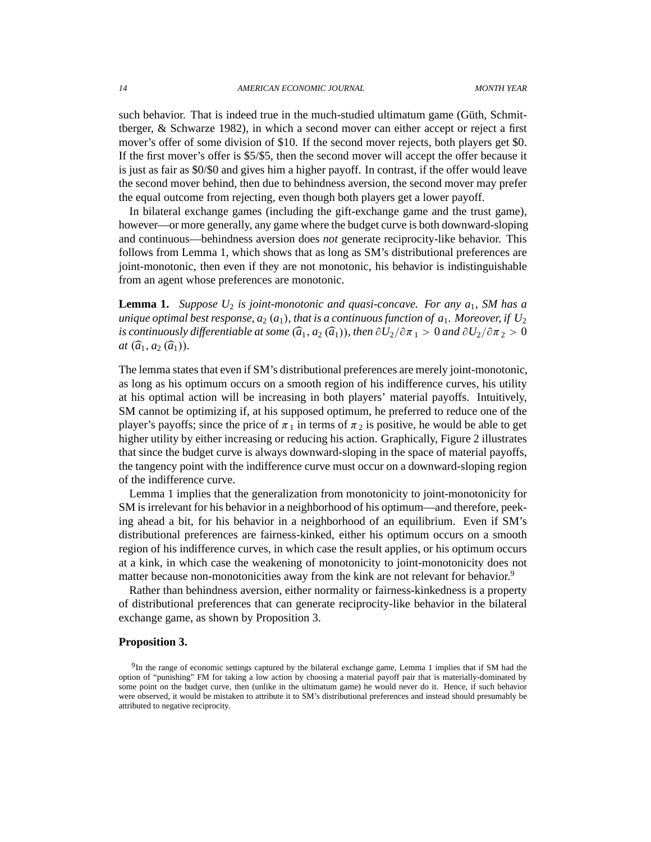such behavior. That is indeed true in the much-studied ultimatum game (Güth, Schmittberger, & Schwarze 1982), in which a second mover can either accept or reject a first mover's offer of some division of \$10. If the second mover rejects, both players get \$0. If the first mover's offer is \$5/\$5, then the second mover will accept the offer because it is just as fair as \$0/\$0 and gives him a higher payoff. In contrast, if the offer would leave the second mover behind, then due to behindness aversion, the second mover may prefer the equal outcome from rejecting, even though both players get a lower payoff.

In bilateral exchange games (including the gift-exchange game and the trust game), however—or more generally, any game where the budget curve is both downward-sloping and continuous—behindness aversion does *not* generate reciprocity-like behavior. This follows from Lemma 1, which shows that as long as SM's distributional preferences are joint-monotonic, then even if they are not monotonic, his behavior is indistinguishable from an agent whose preferences are monotonic.

**Lemma 1.** *Suppose U*<sup>2</sup> *is joint-monotonic and quasi-concave. For any a*1*, SM has a unique optimal best response,*  $a_2(a_1)$ *, that is a continuous function of*  $a_1$ *. Moreover, if*  $U_2$ *is continuously differentiable at some*  $(\widehat{a}_1, a_2 \widehat{a}_1)$ , then  $\partial U_2/\partial \pi_1 > 0$  *and*  $\partial U_2/\partial \pi_2 > 0$ *at*  $(\widehat{a}_1, a_2 (\widehat{a}_1)).$ 

The lemma states that even if SM's distributional preferences are merely joint-monotonic, as long as his optimum occurs on a smooth region of his indifference curves, his utility at his optimal action will be increasing in both players' material payoffs. Intuitively, SM cannot be optimizing if, at his supposed optimum, he preferred to reduce one of the player's payoffs; since the price of  $\pi_1$  in terms of  $\pi_2$  is positive, he would be able to get higher utility by either increasing or reducing his action. Graphically, Figure 2 illustrates that since the budget curve is always downward-sloping in the space of material payoffs, the tangency point with the indifference curve must occur on a downward-sloping region of the indifference curve.

Lemma 1 implies that the generalization from monotonicity to joint-monotonicity for SM is irrelevant for his behavior in a neighborhood of his optimum—and therefore, peeking ahead a bit, for his behavior in a neighborhood of an equilibrium. Even if SM's distributional preferences are fairness-kinked, either his optimum occurs on a smooth region of his indifference curves, in which case the result applies, or his optimum occurs at a kink, in which case the weakening of monotonicity to joint-monotonicity does not matter because non-monotonicities away from the kink are not relevant for behavior.<sup>9</sup>

Rather than behindness aversion, either normality or fairness-kinkedness is a property of distributional preferences that can generate reciprocity-like behavior in the bilateral exchange game, as shown by Proposition 3.

#### **Proposition 3.**

<sup>&</sup>lt;sup>9</sup>In the range of economic settings captured by the bilateral exchange game, Lemma 1 implies that if SM had the option of "punishing" FM for taking a low action by choosing a material payoff pair that is materially-dominated by some point on the budget curve, then (unlike in the ultimatum game) he would never do it. Hence, if such behavior were observed, it would be mistaken to attribute it to SM's distributional preferences and instead should presumably be attributed to negative reciprocity.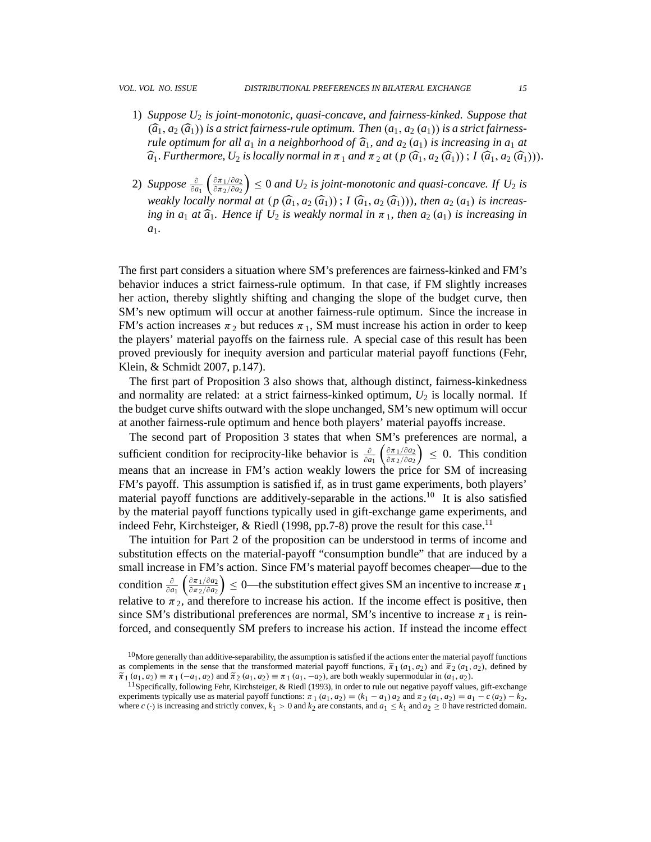- 1) *Suppose U*<sup>2</sup> *is joint-monotonic, quasi-concave, and fairness-kinked. Suppose that*  $(\widehat{a}_1, a_2 \widehat{a}_1)$  *is a strict fairness-rule optimum. Then*  $(a_1, a_2 \widehat{a}_1)$  *is a strict fairnessrule optimum for all*  $a_1$  *in a neighborhood of*  $\hat{a}_1$ *, and*  $a_2$   $(a_1)$  *is increasing in*  $a_1$  *at*  $\widehat{a}_1$ . *Furthermore, U*<sub>2</sub> *is locally normal in*  $\pi_1$  *and*  $\pi_2$  *at*  $(p(\widehat{a}_1, a_2(\widehat{a}_1));$   $I(\widehat{a}_1, a_2(\widehat{a}_1))).$
- 2) *Suppose*  $\frac{\partial}{\partial a_1}$  $\int$ <sup> $\frac{\partial \pi_1}{\partial a_2}$ </sup>  $\partial \pi_2/\partial a_2$  $\left(0 \right) \leq 0$  and  $U_2$  *is joint-monotonic and quasi-concave. If*  $U_2$  *is weakly locally normal at*  $(p(\widehat{a}_1, a_2(\widehat{a}_1))$ ;  $I(\widehat{a}_1, a_2(\widehat{a}_1)))$ , then  $a_2(a_1)$  is increas-<br>in a late of  $\widehat{a}$ . Hence if  $H$  is usually normal in  $\sigma$ , then  $a_2(a_1)$  is increasing in *ing in a<sub>1</sub> at*  $\widehat{a}_1$ *. Hence if U<sub>2</sub> is weakly normal in*  $\pi_1$ *, then a<sub>2</sub> (a<sub>1</sub>) is increasing in a*1*.*

The first part considers a situation where SM's preferences are fairness-kinked and FM's behavior induces a strict fairness-rule optimum. In that case, if FM slightly increases her action, thereby slightly shifting and changing the slope of the budget curve, then SM's new optimum will occur at another fairness-rule optimum. Since the increase in FM's action increases  $\pi_2$  but reduces  $\pi_1$ , SM must increase his action in order to keep the players' material payoffs on the fairness rule. A special case of this result has been proved previously for inequity aversion and particular material payoff functions (Fehr, Klein, & Schmidt 2007, p.147).

The first part of Proposition 3 also shows that, although distinct, fairness-kinkedness and normality are related: at a strict fairness-kinked optimum,  $U_2$  is locally normal. If the budget curve shifts outward with the slope unchanged, SM's new optimum will occur at another fairness-rule optimum and hence both players' material payoffs increase.

The second part of Proposition 3 states that when SM's preferences are normal, a sufficient condition for reciprocity-like behavior is  $\frac{\partial}{\partial a_1}$  $\int \frac{\partial \pi_1}{\partial a_2}$  $\partial$  $\pi$ <sub>2</sub>/ $\partial$ *a*<sub>2</sub>  $\Big) \leq 0$ . This condition means that an increase in FM's action weakly lowers the price for SM of increasing FM's payoff. This assumption is satisfied if, as in trust game experiments, both players' material payoff functions are additively-separable in the actions.<sup>10</sup> It is also satisfied by the material payoff functions typically used in gift-exchange game experiments, and indeed Fehr, Kirchsteiger, & Riedl (1998, pp.7-8) prove the result for this case.<sup>11</sup>

The intuition for Part 2 of the proposition can be understood in terms of income and substitution effects on the material-payoff "consumption bundle" that are induced by a small increase in FM's action. Since FM's material payoff becomes cheaper—due to the condition  $\frac{\partial}{\partial a_1}$  $\int \frac{\partial \pi_1}{\partial a_2}$  $\partial$ *π*<sub>2</sub>/ $\partial$ *a*<sub>2</sub>  $0$  = 0—the substitution effect gives SM an incentive to increase  $\pi_1$ relative to  $\pi_2$ , and therefore to increase his action. If the income effect is positive, then since SM's distributional preferences are normal, SM's incentive to increase  $\pi_1$  is reinforced, and consequently SM prefers to increase his action. If instead the income effect

 $10$ More generally than additive-separability, the assumption is satisfied if the actions enter the material payoff functions as complements in the sense that the transformed material payoff functions,  $\tilde{\pi}_1(a_1, a_2)$  and  $\tilde{\pi}_2(a_1, a_2)$ , defined by  $\tilde{\pi}_1$   $(a_1, a_2) \equiv \pi_1$   $(-a_1, a_2)$  and  $\tilde{\pi}_2$   $(a_1, a_2) \equiv \pi_1$   $(a_1, -a_2)$ , are both weakly supermodular in  $(a_1, a_2)$ .

<sup>&</sup>lt;sup>11</sup> Specifically, following Fehr, Kirchsteiger, & Riedl (1993), in order to rule out negative payoff values, gift-exchange experiments typically use as material payoff functions:  $\pi_1(a_1, a_2) = (k_1 - a_1)a_2$  and  $\pi_2(a_1, a_2) = a_1 - c(a_2) - k_2$ , where  $c(\cdot)$  is increasing and strictly convex,  $k_1 > 0$  and  $k_2$  are constants, and  $a_1 \leq k_1$  and  $a_2 \geq 0$  have restricted domain.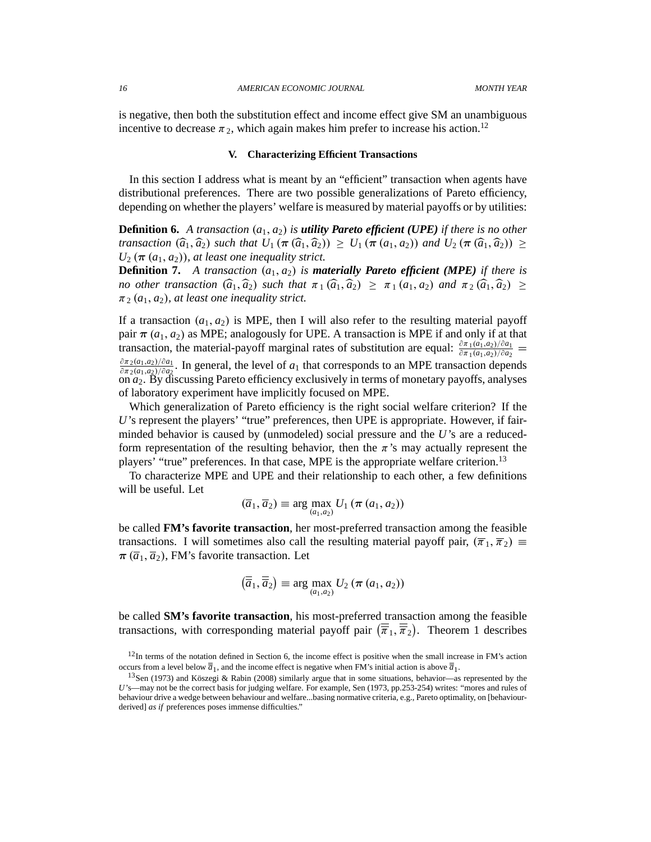is negative, then both the substitution effect and income effect give SM an unambiguous incentive to decrease  $\pi_2$ , which again makes him prefer to increase his action.<sup>12</sup>

#### **V. Characterizing Efficient Transactions**

In this section I address what is meant by an "efficient" transaction when agents have distributional preferences. There are two possible generalizations of Pareto efficiency, depending on whether the players' welfare is measured by material payoffs or by utilities:

**Definition 6.** *A transaction*  $(a_1, a_2)$  *is utility Pareto efficient (UPE) <i>if there is no other transaction*  $(\widehat{a}_1, \widehat{a}_2)$  *such that*  $U_1$   $(\pi (\widehat{a}_1, \widehat{a}_2)) \geq U_1$   $(\pi (a_1, a_2))$  and  $U_2$   $(\pi (\widehat{a}_1, \widehat{a}_2)) \geq$  $U_2(\pi(a_1, a_2))$ , *at least one inequality strict.* 

**Definition 7.** A transaction  $(a_1, a_2)$  is **materially Pareto efficient (MPE)** if there is *no other transaction*  $(\widehat{a}_1, \widehat{a}_2)$  *such that*  $\pi_1(\widehat{a}_1, \widehat{a}_2) \ge \pi_1(a_1, a_2)$  *and*  $\pi_2(\widehat{a}_1, \widehat{a}_2) \ge$  $\pi_2$  ( $a_1$ ,  $a_2$ ), at least one inequality strict.

If a transaction  $(a_1, a_2)$  is MPE, then I will also refer to the resulting material payoff pair  $\pi(a_1, a_2)$  as MPE; analogously for UPE. A transaction is MPE if and only if at that transaction, the material-payoff marginal rates of substitution are equal:  $\frac{\partial \pi_1(a_1,a_2)/\partial a_1}{\partial \pi_1(a_1,a_2)/\partial a_2}$  $\frac{\partial \pi_2(a_1,a_2)/\partial a_1}{\partial \pi_2(a_1,a_2)/\partial a_2}$ . In general, the level of  $a_1$  that corresponds to an MPE transaction depends  $\partial \pi_2(a_1,a_2)/\partial a_2$ . In general, the lever of  $a_1$  that corresponds to an MTE transaction depends on  $a_2$ . By discussing Pareto efficiency exclusively in terms of monetary payoffs, analyses of laboratory experiment have implicitly focused on MPE.

Which generalization of Pareto efficiency is the right social welfare criterion? If the *U*'s represent the players' "true" preferences, then UPE is appropriate. However, if fairminded behavior is caused by (unmodeled) social pressure and the *U*'s are a reducedform representation of the resulting behavior, then the  $\pi$ 's may actually represent the players' "true" preferences. In that case, MPE is the appropriate welfare criterion.<sup>13</sup>

To characterize MPE and UPE and their relationship to each other, a few definitions will be useful. Let

$$
(\overline{a}_1, \overline{a}_2) \equiv \arg \max_{(a_1, a_2)} U_1 (\boldsymbol{\pi} (a_1, a_2))
$$

be called **FM's favorite transaction**, her most-preferred transaction among the feasible transactions. I will sometimes also call the resulting material payoff pair,  $(\overline{\pi}_1, \overline{\pi}_2) \equiv$  $\pi(\overline{a}_1, \overline{a}_2)$ , FM's favorite transaction. Let

$$
\left(\overline{\overline{a}}_1, \overline{\overline{a}}_2\right) \equiv \arg\max_{(a_1, a_2)} U_2 \left(\pi\left(a_1, a_2\right)\right)
$$

be called **SM's favorite transaction**, his most-preferred transaction among the feasible transactions, with corresponding material payoff pair  $(\overline{\overline{\pi}}_1, \overline{\overline{\pi}}_2)$ . Theorem 1 describes

 $12$ In terms of the notation defined in Section 6, the income effect is positive when the small increase in FM's action occurs from a level below  $\overline{a}_1$ , and the income effect is negative when FM's initial action is above  $\overline{a}_1$ .

<sup>13</sup>Sen (1973) and Köszegi & Rabin (2008) similarly argue that in some situations, behavior—as represented by the *U*'s—may not be the correct basis for judging welfare. For example, Sen (1973, pp.253-254) writes: "mores and rules of behaviour drive a wedge between behaviour and welfare...basing normative criteria, e.g., Pareto optimality, on [behaviourderived] *as if* preferences poses immense difficulties."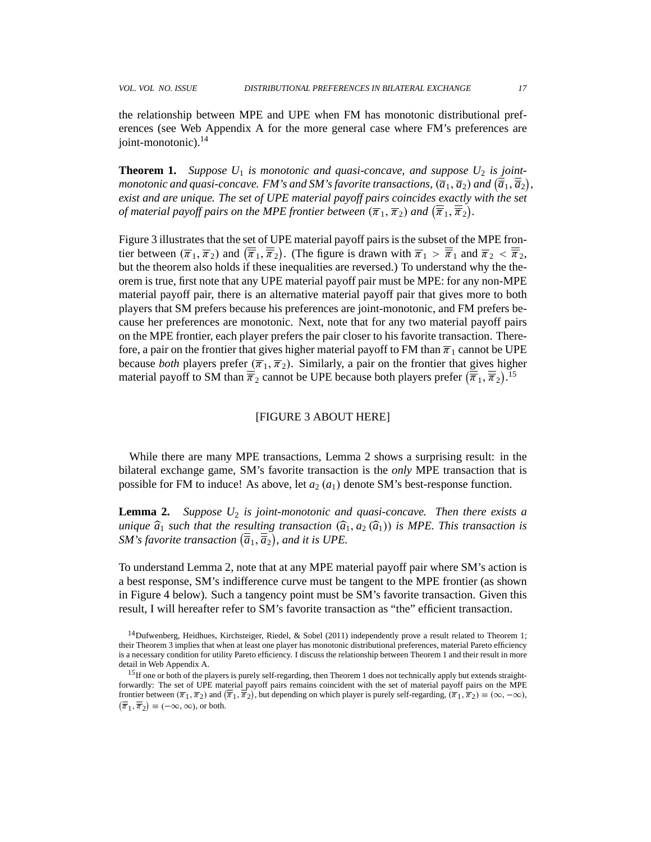the relationship between MPE and UPE when FM has monotonic distributional preferences (see Web Appendix A for the more general case where FM's preferences are joint-monotonic).<sup>14</sup>

**Theorem 1.** Suppose  $U_1$  is monotonic and quasi-concave, and suppose  $U_2$  is joint*monotonic and quasi-concave. FM's and SM's favorite transactions,*  $(\overline{a}_1, \overline{a}_2)$  *and*  $(\overline{\overline{a}}_1, \overline{\overline{a}}_2)$ *, exist and are unique. The set of UPE material payoff pairs coincides exactly with the set of material payoff pairs on the MPE frontier between*  $(\overline{\pi}_1, \overline{\pi}_2)$  *and*  $(\overline{\overline{\pi}}_1, \overline{\overline{\pi}}_2)$ .

Figure 3 illustrates that the set of UPE material payoff pairs is the subset of the MPE frontier between  $(\overline{\pi}_1, \overline{\pi}_2)$  and  $(\overline{\overline{\pi}}_1, \overline{\overline{\pi}}_2)$ . (The figure is drawn with  $\overline{\pi}_1 > \overline{\overline{\pi}}_1$  and  $\overline{\pi}_2 < \overline{\overline{\pi}}_2$ , but the theorem also holds if these inequalities are reversed.) To understand why the theorem is true, first note that any UPE material payoff pair must be MPE: for any non-MPE material payoff pair, there is an alternative material payoff pair that gives more to both players that SM prefers because his preferences are joint-monotonic, and FM prefers because her preferences are monotonic. Next, note that for any two material payoff pairs on the MPE frontier, each player prefers the pair closer to his favorite transaction. Therefore, a pair on the frontier that gives higher material payoff to FM than  $\overline{\pi}_1$  cannot be UPE because *both* players prefer  $(\overline{\pi}_1, \overline{\pi}_2)$ . Similarly, a pair on the frontier that gives higher material payoff to SM than  $\overline{\overline{\pi}}_2$  cannot be UPE because both players prefer  $(\overline{\overline{\pi}}_1, \overline{\overline{\pi}}_2)$ .<sup>15</sup>

#### [FIGURE 3 ABOUT HERE]

While there are many MPE transactions, Lemma 2 shows a surprising result: in the bilateral exchange game, SM's favorite transaction is the *only* MPE transaction that is possible for FM to induce! As above, let  $a_2$   $(a_1)$  denote SM's best-response function.

**Lemma 2.** *Suppose U*<sup>2</sup> *is joint-monotonic and quasi-concave. Then there exists a unique*  $\widehat{a}_1$  *such that the resulting transaction*  $(\widehat{a}_1, a_2 \widehat{a}_1)$  *is MPE. This transaction is SM's favorite transaction*  $(\overline{\overline{a}}_1, \overline{\overline{a}}_2)$ *, and it is UPE.* 

To understand Lemma 2, note that at any MPE material payoff pair where SM's action is a best response, SM's indifference curve must be tangent to the MPE frontier (as shown in Figure 4 below). Such a tangency point must be SM's favorite transaction. Given this result, I will hereafter refer to SM's favorite transaction as "the" efficient transaction.

<sup>14</sup>Dufwenberg, Heidhues, Kirchsteiger, Riedel, & Sobel (2011) independently prove a result related to Theorem 1; their Theorem 3 implies that when at least one player has monotonic distributional preferences, material Pareto efficiency is a necessary condition for utility Pareto efficiency. I discuss the relationship between Theorem 1 and their result in more detail in Web Appendix A.

<sup>&</sup>lt;sup>15</sup>If one or both of the players is purely self-regarding, then Theorem 1 does not technically apply but extends straightforwardly: The set of UPE material payoff pairs remains coincident with the set of material payoff pairs on the MPE<br>frontier between  $(\overline{\pi}_1, \overline{\pi}_2)$  and  $(\overline{\overline{\pi}}_1, \overline{\overline{\pi}}_2)$ , but depending on which player is pure  $\left(\overline{\overline{\pi}}_1, \overline{\overline{\pi}}_2\right) \equiv (-\infty, \infty)$ , or both.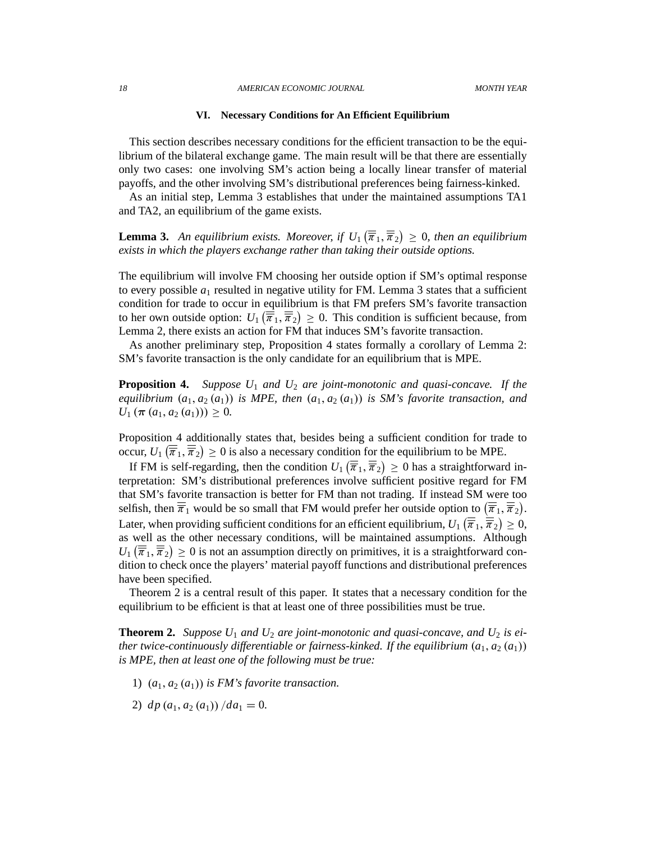*18 AMERICAN ECONOMIC JOURNAL MONTH YEAR*

#### **VI. Necessary Conditions for An Efficient Equilibrium**

This section describes necessary conditions for the efficient transaction to be the equilibrium of the bilateral exchange game. The main result will be that there are essentially only two cases: one involving SM's action being a locally linear transfer of material payoffs, and the other involving SM's distributional preferences being fairness-kinked.

As an initial step, Lemma 3 establishes that under the maintained assumptions TA1 and TA2, an equilibrium of the game exists.

**Lemma 3.** An equilibrium exists. Moreover, if  $U_1(\overline{\overline{\pi}}_1, \overline{\overline{\pi}}_2) \ge 0$ , then an equilibrium *exists in which the players exchange rather than taking their outside options.*

The equilibrium will involve FM choosing her outside option if SM's optimal response to every possible  $a_1$  resulted in negative utility for FM. Lemma 3 states that a sufficient condition for trade to occur in equilibrium is that FM prefers SM's favorite transaction to her own outside option:  $U_1(\overline{\overline{\pi}}_1, \overline{\overline{\pi}}_2) \ge 0$ . This condition is sufficient because, from Lemma 2, there exists an action for FM that induces SM's favorite transaction.

As another preliminary step, Proposition 4 states formally a corollary of Lemma 2: SM's favorite transaction is the only candidate for an equilibrium that is MPE.

**Proposition 4.** *Suppose U*<sup>1</sup> *and U*<sup>2</sup> *are joint-monotonic and quasi-concave. If the equilibrium*  $(a_1, a_2(a_1))$  *is MPE, then*  $(a_1, a_2(a_1))$  *is SM's favorite transaction, and*  $U_1$  ( $\pi$  ( $a_1$ ,  $a_2$  ( $a_1$ )))  $\geq$  0.

Proposition 4 additionally states that, besides being a sufficient condition for trade to occur,  $U_1(\overline{\overline{\pi}}_1, \overline{\overline{\pi}}_2) \ge 0$  is also a necessary condition for the equilibrium to be MPE.

If FM is self-regarding, then the condition  $U_1\left(\overline{\overline{\pi}}_1, \overline{\overline{\pi}}_2\right) \ge 0$  has a straightforward interpretation: SM's distributional preferences involve sufficient positive regard for FM that SM's favorite transaction is better for FM than not trading. If instead SM were too selfish, then  $\overline{\overline{\pi}}_1$  would be so small that FM would prefer her outside option to  $(\overline{\overline{\pi}}_1, \overline{\overline{\pi}}_2)$ . Later, when providing sufficient conditions for an efficient equilibrium,  $U_1\left(\overline{\overline{\pi}}_1, \overline{\overline{\pi}}_2\right) \geq 0$ , as well as the other necessary conditions, will be maintained assumptions. Although  $U_1(\overline{\overline{\pi}}_1, \overline{\overline{\pi}}_2) \ge 0$  is not an assumption directly on primitives, it is a straightforward condition to check once the players' material payoff functions and distributional preferences have been specified.

Theorem 2 is a central result of this paper. It states that a necessary condition for the equilibrium to be efficient is that at least one of three possibilities must be true.

**Theorem 2.** Suppose  $U_1$  and  $U_2$  are joint-monotonic and quasi-concave, and  $U_2$  is ei*ther twice-continuously differentiable or fairness-kinked. If the equilibrium*  $(a_1, a_2(a_1))$ *is MPE, then at least one of the following must be true:*

- 1)  $(a_1, a_2(a_1))$  *is FM's favorite transaction.*
- 2)  $dp (a_1, a_2 (a_1)) / da_1 = 0.$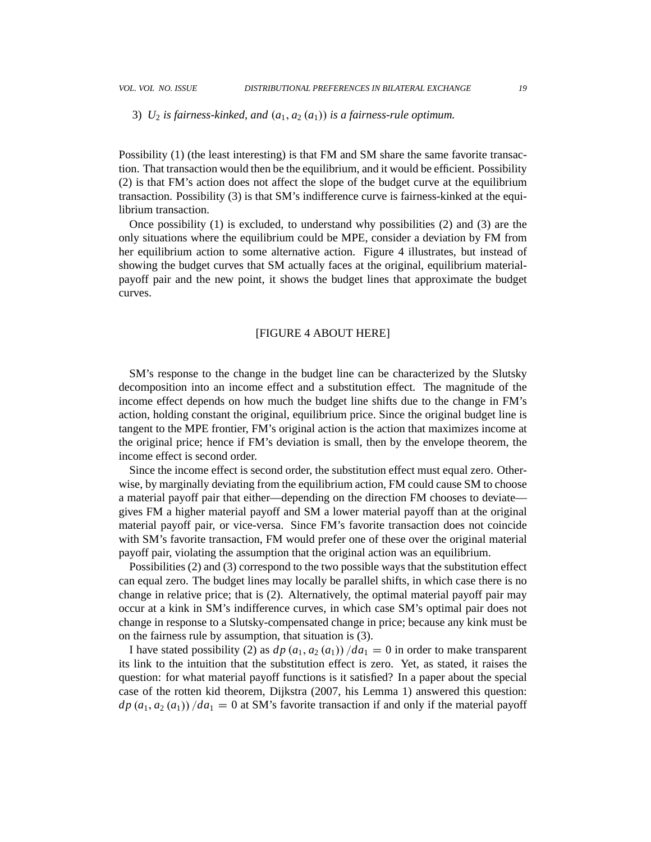## 3)  $U_2$  *is fairness-kinked, and*  $(a_1, a_2(a_1))$  *is a fairness-rule optimum.*

Possibility (1) (the least interesting) is that FM and SM share the same favorite transaction. That transaction would then be the equilibrium, and it would be efficient. Possibility (2) is that FM's action does not affect the slope of the budget curve at the equilibrium transaction. Possibility (3) is that SM's indifference curve is fairness-kinked at the equilibrium transaction.

Once possibility (1) is excluded, to understand why possibilities (2) and (3) are the only situations where the equilibrium could be MPE, consider a deviation by FM from her equilibrium action to some alternative action. Figure 4 illustrates, but instead of showing the budget curves that SM actually faces at the original, equilibrium materialpayoff pair and the new point, it shows the budget lines that approximate the budget curves.

#### [FIGURE 4 ABOUT HERE]

SM's response to the change in the budget line can be characterized by the Slutsky decomposition into an income effect and a substitution effect. The magnitude of the income effect depends on how much the budget line shifts due to the change in FM's action, holding constant the original, equilibrium price. Since the original budget line is tangent to the MPE frontier, FM's original action is the action that maximizes income at the original price; hence if FM's deviation is small, then by the envelope theorem, the income effect is second order.

Since the income effect is second order, the substitution effect must equal zero. Otherwise, by marginally deviating from the equilibrium action, FM could cause SM to choose a material payoff pair that either—depending on the direction FM chooses to deviate gives FM a higher material payoff and SM a lower material payoff than at the original material payoff pair, or vice-versa. Since FM's favorite transaction does not coincide with SM's favorite transaction, FM would prefer one of these over the original material payoff pair, violating the assumption that the original action was an equilibrium.

Possibilities (2) and (3) correspond to the two possible ways that the substitution effect can equal zero. The budget lines may locally be parallel shifts, in which case there is no change in relative price; that is (2). Alternatively, the optimal material payoff pair may occur at a kink in SM's indifference curves, in which case SM's optimal pair does not change in response to a Slutsky-compensated change in price; because any kink must be on the fairness rule by assumption, that situation is (3).

I have stated possibility (2) as  $dp(a_1, a_2(a_1)) / da_1 = 0$  in order to make transparent its link to the intuition that the substitution effect is zero. Yet, as stated, it raises the question: for what material payoff functions is it satisfied? In a paper about the special case of the rotten kid theorem, Dijkstra (2007, his Lemma 1) answered this question:  $dp(a_1, a_2(a_1))$  /da<sub>1</sub> = 0 at SM's favorite transaction if and only if the material payoff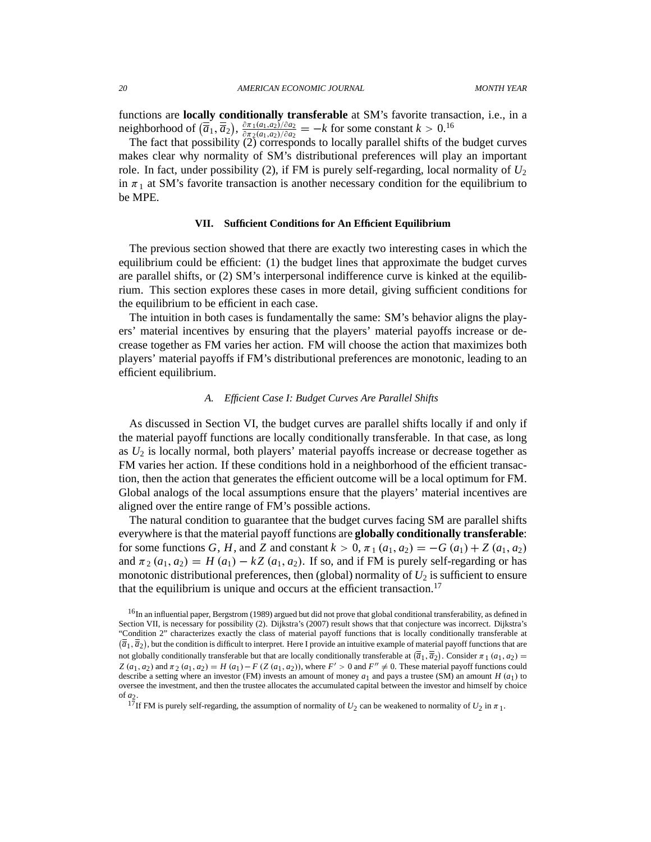functions are **locally conditionally transferable** at SM's favorite transaction, i.e., in a neighborhood of  $(\overline{\overline{a}}_1, \overline{\overline{a}}_2), \frac{\partial \pi_1(a_1, a_2)}{\partial \pi_2(a_1, a_2)/\partial a_2}$  $\frac{\partial \pi_1(a_1,a_2)/\partial a_2}{\partial \pi_2(a_1,a_2)/\partial a_2} = -k$  for some constant  $k > 0.16$ 

The fact that possibility  $(2)$  corresponds to locally parallel shifts of the budget curves makes clear why normality of SM's distributional preferences will play an important role. In fact, under possibility (2), if FM is purely self-regarding, local normality of  $U_2$ in  $\pi_1$  at SM's favorite transaction is another necessary condition for the equilibrium to be MPE.

# **VII. Sufficient Conditions for An Efficient Equilibrium**

The previous section showed that there are exactly two interesting cases in which the equilibrium could be efficient: (1) the budget lines that approximate the budget curves are parallel shifts, or (2) SM's interpersonal indifference curve is kinked at the equilibrium. This section explores these cases in more detail, giving sufficient conditions for the equilibrium to be efficient in each case.

The intuition in both cases is fundamentally the same: SM's behavior aligns the players' material incentives by ensuring that the players' material payoffs increase or decrease together as FM varies her action. FM will choose the action that maximizes both players' material payoffs if FM's distributional preferences are monotonic, leading to an efficient equilibrium.

## *A. Efficient Case I: Budget Curves Are Parallel Shifts*

As discussed in Section VI, the budget curves are parallel shifts locally if and only if the material payoff functions are locally conditionally transferable. In that case, as long as  $U_2$  is locally normal, both players' material payoffs increase or decrease together as FM varies her action. If these conditions hold in a neighborhood of the efficient transaction, then the action that generates the efficient outcome will be a local optimum for FM. Global analogs of the local assumptions ensure that the players' material incentives are aligned over the entire range of FM's possible actions.

The natural condition to guarantee that the budget curves facing SM are parallel shifts everywhere is that the material payoff functions are **globally conditionally transferable**: for some functions *G*, *H*, and *Z* and constant  $k > 0$ ,  $\pi_1(a_1, a_2) = -G(a_1) + Z(a_1, a_2)$ and  $\pi_2$   $(a_1, a_2) = H(a_1) - kZ(a_1, a_2)$ . If so, and if FM is purely self-regarding or has monotonic distributional preferences, then (global) normality of  $U_2$  is sufficient to ensure that the equilibrium is unique and occurs at the efficient transaction.<sup>17</sup>

<sup>&</sup>lt;sup>16</sup>In an influential paper, Bergstrom (1989) argued but did not prove that global conditional transferability, as defined in Section VII, is necessary for possibility (2). Dijkstra's (2007) result shows that that conjecture was incorrect. Dijkstra's "Condition 2" characterizes exactly the class of material payoff functions that is locally conditionally transferable at  $(\overline{\overline{a}}_1, \overline{\overline{a}}_2)$ , but the condition is difficult to interpret. Here I provide an intuitive example of material payoff functions that are not globally conditionally transferable but that are locally conditionally transferable at  $(\overline{\overline{a}}_1, \overline{\overline{a}}_2)$ . Consider  $\pi_1(a_1, a_2)$  =  $Z(a_1, a_2)$  and  $\pi_2(a_1, a_2) = H(a_1) - F(Z(a_1, a_2))$ , where  $F' > 0$  and  $F'' \neq 0$ . These material payoff functions could describe a setting where an investor (FM) invests an amount of money  $a_1$  and pays a trustee (SM) an amount  $H(a_1)$  to oversee the investment, and then the trustee allocates the accumulated capital between the investor and himself by choice of *a*2.

<sup>&</sup>lt;sup>17</sup>If FM is purely self-regarding, the assumption of normality of  $U_2$  can be weakened to normality of  $U_2$  in  $\pi_1$ .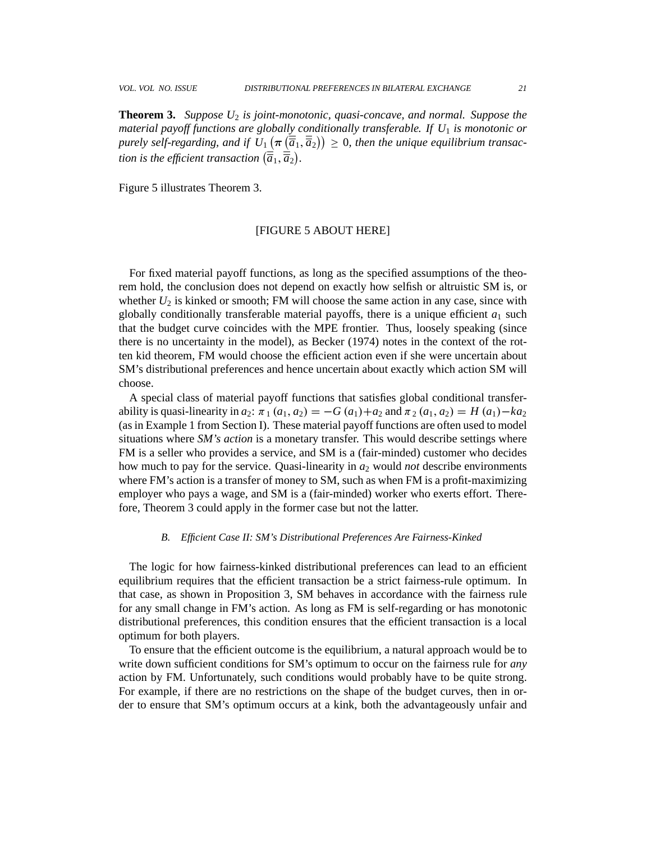**Theorem 3.** *Suppose U*<sup>2</sup> *is joint-monotonic, quasi-concave, and normal. Suppose the material payoff functions are globally conditionally transferable. If U*<sup>1</sup> *is monotonic or*  $p$ urely self-regarding, and if  $U_1(\pi\left(\overline{\overline{a}}_1,\overline{\overline{a}}_2\right)) \geq 0$ , then the unique equilibrium transac*tion is the efficient transaction*  $(\overline{\overline{a}}_1, \overline{\overline{a}}_2).$ 

Figure 5 illustrates Theorem 3.

## [FIGURE 5 ABOUT HERE]

For fixed material payoff functions, as long as the specified assumptions of the theorem hold, the conclusion does not depend on exactly how selfish or altruistic SM is, or whether  $U_2$  is kinked or smooth; FM will choose the same action in any case, since with globally conditionally transferable material payoffs, there is a unique efficient  $a_1$  such that the budget curve coincides with the MPE frontier. Thus, loosely speaking (since there is no uncertainty in the model), as Becker (1974) notes in the context of the rotten kid theorem, FM would choose the efficient action even if she were uncertain about SM's distributional preferences and hence uncertain about exactly which action SM will choose.

A special class of material payoff functions that satisfies global conditional transferability is quasi-linearity in  $a_2$ :  $\pi_1(a_1, a_2) = -G(a_1) + a_2$  and  $\pi_2(a_1, a_2) = H(a_1) - ka_2$ (as in Example 1 from Section I). These material payoff functions are often used to model situations where *SM's action* is a monetary transfer. This would describe settings where FM is a seller who provides a service, and SM is a (fair-minded) customer who decides how much to pay for the service. Quasi-linearity in *a*<sup>2</sup> would *not* describe environments where FM's action is a transfer of money to SM, such as when FM is a profit-maximizing employer who pays a wage, and SM is a (fair-minded) worker who exerts effort. Therefore, Theorem 3 could apply in the former case but not the latter.

#### *B. Efficient Case II: SM's Distributional Preferences Are Fairness-Kinked*

The logic for how fairness-kinked distributional preferences can lead to an efficient equilibrium requires that the efficient transaction be a strict fairness-rule optimum. In that case, as shown in Proposition 3, SM behaves in accordance with the fairness rule for any small change in FM's action. As long as FM is self-regarding or has monotonic distributional preferences, this condition ensures that the efficient transaction is a local optimum for both players.

To ensure that the efficient outcome is the equilibrium, a natural approach would be to write down sufficient conditions for SM's optimum to occur on the fairness rule for *any* action by FM. Unfortunately, such conditions would probably have to be quite strong. For example, if there are no restrictions on the shape of the budget curves, then in order to ensure that SM's optimum occurs at a kink, both the advantageously unfair and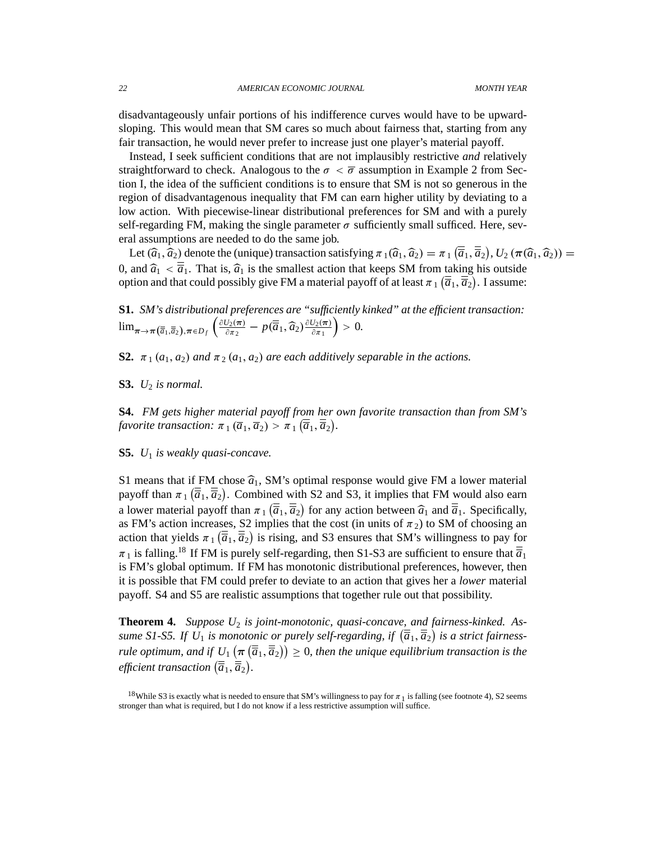disadvantageously unfair portions of his indifference curves would have to be upwardsloping. This would mean that SM cares so much about fairness that, starting from any fair transaction, he would never prefer to increase just one player's material payoff.

Instead, I seek sufficient conditions that are not implausibly restrictive *and* relatively straightforward to check. Analogous to the  $\sigma < \overline{\sigma}$  assumption in Example 2 from Section I, the idea of the sufficient conditions is to ensure that SM is not so generous in the region of disadvantagenous inequality that FM can earn higher utility by deviating to a low action. With piecewise-linear distributional preferences for SM and with a purely self-regarding FM, making the single parameter  $\sigma$  sufficiently small sufficed. Here, several assumptions are needed to do the same job.

Let  $(\hat{a}_1, \hat{a}_2)$  denote the (unique) transaction satisfying  $\pi_1(\hat{a}_1, \hat{a}_2) = \pi_1(\overline{\hat{a}}_1, \overline{\hat{a}}_2)$ ,  $U_2(\pi(\hat{a}_1, \hat{a}_2)) =$ 0, and  $\hat{a}_1 < \overline{a}_1$ . That is,  $\hat{a}_1$  is the smallest action that keeps SM from taking his outside option and that could possibly give FM a material payoff of at least  $\pi_1$  ( $\overline{\overline{a}}_1$ ,  $\overline{\overline{a}}_2$ ). I assume:

**S1.** *SM's distributional preferences are "sufficiently kinked" at the efficient transaction:*  $\lim_{\pi \to \pi (\overline{\overline{a}}_1, \overline{\overline{a}}_2), \pi \in D_f} \left( \frac{\partial U_2(\pi)}{\partial \pi_2} \right)$  $\frac{U_2(\boldsymbol{\pi})}{\partial \pi_2} - p(\overline{\overline{a}}_1, \widehat{a}_2) \frac{\partial U_2(\boldsymbol{\pi})}{\partial \pi_1}$  $\partial \pi_1$  $= 0.$ 

**S2.**  $\pi_1(a_1, a_2)$  and  $\pi_2(a_1, a_2)$  are each additively separable in the actions.

**S3.** *U*<sup>2</sup> *is normal.*

**S4.** *FM gets higher material payoff from her own favorite transaction than from SM's* favorite transaction:  $\pi_1(\overline{a}_1, \overline{a}_2) > \pi_1(\overline{\overline{a}}_1, \overline{\overline{a}}_2)$ .

**S5.** *U*<sup>1</sup> *is weakly quasi-concave.*

S1 means that if FM chose  $\hat{a}_1$ , SM's optimal response would give FM a lower material payoff than  $\pi_1(\overline{\overline{a}}_1, \overline{\overline{a}}_2)$ . Combined with S2 and S3, it implies that FM would also earn a lower material payoff than  $\pi_1(\overline{\overline{a}}_1, \overline{\overline{a}}_2)$  for any action between  $\widehat{a}_1$  and  $\overline{\overline{a}}_1$ . Specifically, as FM's action increases, S2 implies that the cost (in units of  $\pi_2$ ) to SM of choosing an action that yields  $\pi_1(\overline{\overline{a}}_1, \overline{\overline{a}}_2)$  is rising, and S3 ensures that SM's willingness to pay for  $\pi_1$  is falling.<sup>18</sup> If FM is purely self-regarding, then S1-S3 are sufficient to ensure that  $\overline{a}_1$ is FM's global optimum. If FM has monotonic distributional preferences, however, then it is possible that FM could prefer to deviate to an action that gives her a *lower* material payoff. S4 and S5 are realistic assumptions that together rule out that possibility.

**Theorem 4.** *Suppose U*<sup>2</sup> *is joint-monotonic, quasi-concave, and fairness-kinked. As*sume S1-S5. If  $U_1$  is monotonic or purely self-regarding, if  $(\overline{\overline{a}}_1, \overline{\overline{a}}_2)$  is a strict fairness*rule optimum, and if*  $\underline{U_1}(\pi(\overline{\overline{a}}_1, \overline{\overline{a}}_2)) \ge 0$ , then the unique equilibrium transaction is the efficient transaction  $(\overline{\overline{a}}_1, \overline{\overline{a}}_2)$ .

<sup>&</sup>lt;sup>18</sup>While S3 is exactly what is needed to ensure that SM's willingness to pay for  $\pi_1$  is falling (see footnote 4), S2 seems stronger than what is required, but I do not know if a less restrictive assumption will suffice.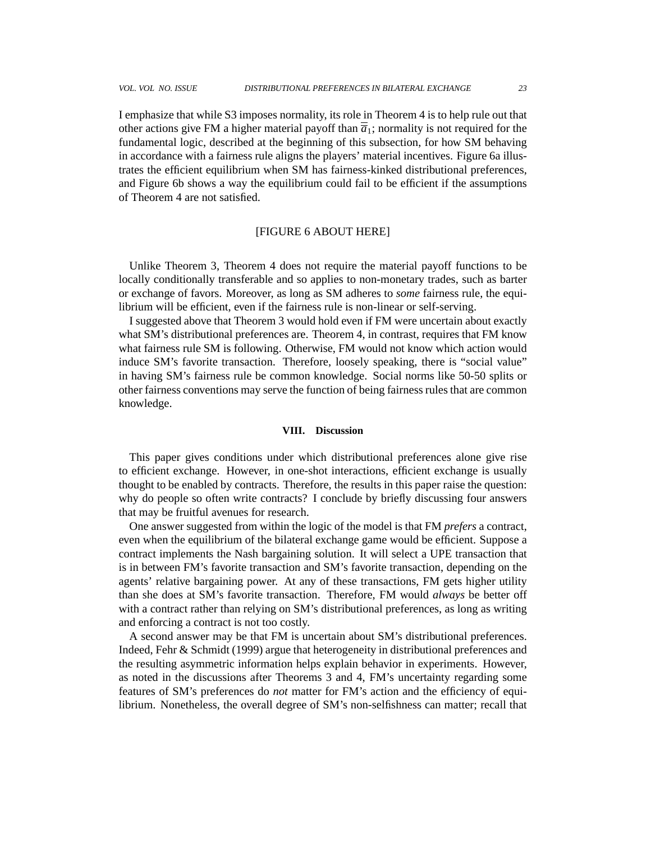I emphasize that while S3 imposes normality, its role in Theorem 4 is to help rule out that other actions give FM a higher material payoff than  $\overline{a}_1$ ; normality is not required for the fundamental logic, described at the beginning of this subsection, for how SM behaving in accordance with a fairness rule aligns the players' material incentives. Figure 6a illustrates the efficient equilibrium when SM has fairness-kinked distributional preferences, and Figure 6b shows a way the equilibrium could fail to be efficient if the assumptions of Theorem 4 are not satisfied.

# [FIGURE 6 ABOUT HERE]

Unlike Theorem 3, Theorem 4 does not require the material payoff functions to be locally conditionally transferable and so applies to non-monetary trades, such as barter or exchange of favors. Moreover, as long as SM adheres to *some* fairness rule, the equilibrium will be efficient, even if the fairness rule is non-linear or self-serving.

I suggested above that Theorem 3 would hold even if FM were uncertain about exactly what SM's distributional preferences are. Theorem 4, in contrast, requires that FM know what fairness rule SM is following. Otherwise, FM would not know which action would induce SM's favorite transaction. Therefore, loosely speaking, there is "social value" in having SM's fairness rule be common knowledge. Social norms like 50-50 splits or other fairness conventions may serve the function of being fairness rules that are common knowledge.

#### **VIII. Discussion**

This paper gives conditions under which distributional preferences alone give rise to efficient exchange. However, in one-shot interactions, efficient exchange is usually thought to be enabled by contracts. Therefore, the results in this paper raise the question: why do people so often write contracts? I conclude by briefly discussing four answers that may be fruitful avenues for research.

One answer suggested from within the logic of the model is that FM *prefers* a contract, even when the equilibrium of the bilateral exchange game would be efficient. Suppose a contract implements the Nash bargaining solution. It will select a UPE transaction that is in between FM's favorite transaction and SM's favorite transaction, depending on the agents' relative bargaining power. At any of these transactions, FM gets higher utility than she does at SM's favorite transaction. Therefore, FM would *always* be better off with a contract rather than relying on SM's distributional preferences, as long as writing and enforcing a contract is not too costly.

A second answer may be that FM is uncertain about SM's distributional preferences. Indeed, Fehr & Schmidt (1999) argue that heterogeneity in distributional preferences and the resulting asymmetric information helps explain behavior in experiments. However, as noted in the discussions after Theorems 3 and 4, FM's uncertainty regarding some features of SM's preferences do *not* matter for FM's action and the efficiency of equilibrium. Nonetheless, the overall degree of SM's non-selfishness can matter; recall that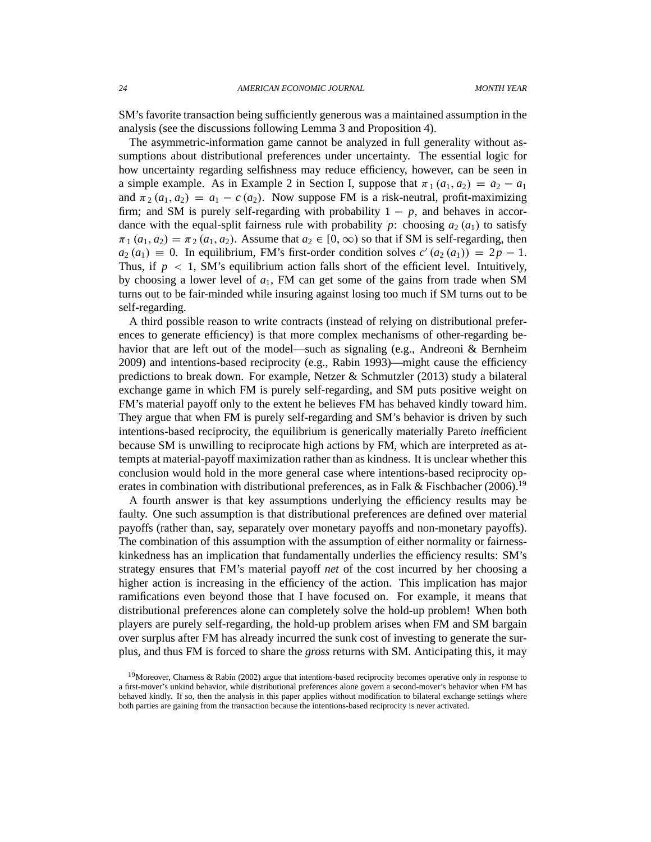SM's favorite transaction being sufficiently generous was a maintained assumption in the analysis (see the discussions following Lemma 3 and Proposition 4).

The asymmetric-information game cannot be analyzed in full generality without assumptions about distributional preferences under uncertainty. The essential logic for how uncertainty regarding selfishness may reduce efficiency, however, can be seen in a simple example. As in Example 2 in Section I, suppose that  $\pi_1(a_1, a_2) = a_2 - a_1$ and  $\pi_2(a_1, a_2) = a_1 - c(a_2)$ . Now suppose FM is a risk-neutral, profit-maximizing firm; and SM is purely self-regarding with probability  $1 - p$ , and behaves in accordance with the equal-split fairness rule with probability *p*: choosing  $a_2(a_1)$  to satisfy  $\pi_1$   $(a_1, a_2) = \pi_2$   $(a_1, a_2)$ . Assume that  $a_2 \in [0, \infty)$  so that if SM is self-regarding, then  $a_2(a_1) \equiv 0$ . In equilibrium, FM's first-order condition solves  $c'(a_2(a_1)) = 2p - 1$ . Thus, if  $p < 1$ , SM's equilibrium action falls short of the efficient level. Intuitively, by choosing a lower level of  $a_1$ , FM can get some of the gains from trade when SM turns out to be fair-minded while insuring against losing too much if SM turns out to be self-regarding.

A third possible reason to write contracts (instead of relying on distributional preferences to generate efficiency) is that more complex mechanisms of other-regarding behavior that are left out of the model—such as signaling (e.g., Andreoni & Bernheim 2009) and intentions-based reciprocity (e.g., Rabin 1993)—might cause the efficiency predictions to break down. For example, Netzer & Schmutzler (2013) study a bilateral exchange game in which FM is purely self-regarding, and SM puts positive weight on FM's material payoff only to the extent he believes FM has behaved kindly toward him. They argue that when FM is purely self-regarding and SM's behavior is driven by such intentions-based reciprocity, the equilibrium is generically materially Pareto *in*efficient because SM is unwilling to reciprocate high actions by FM, which are interpreted as attempts at material-payoff maximization rather than as kindness. It is unclear whether this conclusion would hold in the more general case where intentions-based reciprocity operates in combination with distributional preferences, as in Falk & Fischbacher (2006).<sup>19</sup>

A fourth answer is that key assumptions underlying the efficiency results may be faulty. One such assumption is that distributional preferences are defined over material payoffs (rather than, say, separately over monetary payoffs and non-monetary payoffs). The combination of this assumption with the assumption of either normality or fairnesskinkedness has an implication that fundamentally underlies the efficiency results: SM's strategy ensures that FM's material payoff *net* of the cost incurred by her choosing a higher action is increasing in the efficiency of the action. This implication has major ramifications even beyond those that I have focused on. For example, it means that distributional preferences alone can completely solve the hold-up problem! When both players are purely self-regarding, the hold-up problem arises when FM and SM bargain over surplus after FM has already incurred the sunk cost of investing to generate the surplus, and thus FM is forced to share the *gross* returns with SM. Anticipating this, it may

<sup>&</sup>lt;sup>19</sup>Moreover, Charness & Rabin (2002) argue that intentions-based reciprocity becomes operative only in response to a first-mover's unkind behavior, while distributional preferences alone govern a second-mover's behavior when FM has behaved kindly. If so, then the analysis in this paper applies without modification to bilateral exchange settings where both parties are gaining from the transaction because the intentions-based reciprocity is never activated.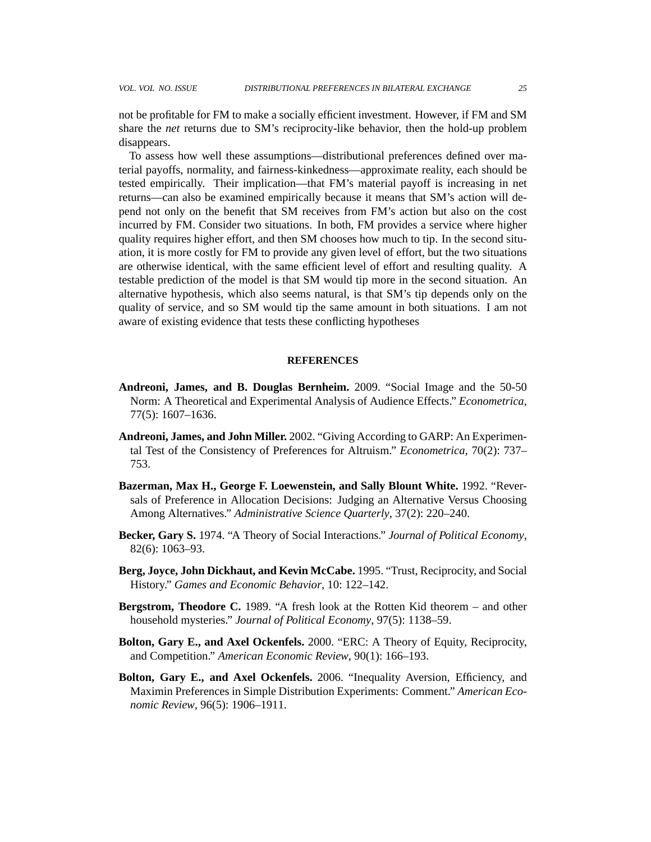not be profitable for FM to make a socially efficient investment. However, if FM and SM share the *net* returns due to SM's reciprocity-like behavior, then the hold-up problem disappears.

To assess how well these assumptions—distributional preferences defined over material payoffs, normality, and fairness-kinkedness—approximate reality, each should be tested empirically. Their implication—that FM's material payoff is increasing in net returns—can also be examined empirically because it means that SM's action will depend not only on the benefit that SM receives from FM's action but also on the cost incurred by FM. Consider two situations. In both, FM provides a service where higher quality requires higher effort, and then SM chooses how much to tip. In the second situation, it is more costly for FM to provide any given level of effort, but the two situations are otherwise identical, with the same efficient level of effort and resulting quality. A testable prediction of the model is that SM would tip more in the second situation. An alternative hypothesis, which also seems natural, is that SM's tip depends only on the quality of service, and so SM would tip the same amount in both situations. I am not aware of existing evidence that tests these conflicting hypotheses

#### **REFERENCES**

- **Andreoni, James, and B. Douglas Bernheim.** 2009. "Social Image and the 50-50 Norm: A Theoretical and Experimental Analysis of Audience Effects." *Econometrica*, 77(5): 1607–1636.
- **Andreoni, James, and John Miller.** 2002. "Giving According to GARP: An Experimental Test of the Consistency of Preferences for Altruism." *Econometrica*, 70(2): 737– 753.
- **Bazerman, Max H., George F. Loewenstein, and Sally Blount White.** 1992. "Reversals of Preference in Allocation Decisions: Judging an Alternative Versus Choosing Among Alternatives." *Administrative Science Quarterly*, 37(2): 220–240.
- **Becker, Gary S.** 1974. "A Theory of Social Interactions." *Journal of Political Economy*, 82(6): 1063–93.
- **Berg, Joyce, John Dickhaut, and Kevin McCabe.** 1995. "Trust, Reciprocity, and Social History." *Games and Economic Behavior*, 10: 122–142.
- **Bergstrom, Theodore C.** 1989. "A fresh look at the Rotten Kid theorem and other household mysteries." *Journal of Political Economy*, 97(5): 1138–59.
- **Bolton, Gary E., and Axel Ockenfels.** 2000. "ERC: A Theory of Equity, Reciprocity, and Competition." *American Economic Review*, 90(1): 166–193.
- **Bolton, Gary E., and Axel Ockenfels.** 2006. "Inequality Aversion, Efficiency, and Maximin Preferences in Simple Distribution Experiments: Comment." *American Economic Review*, 96(5): 1906–1911.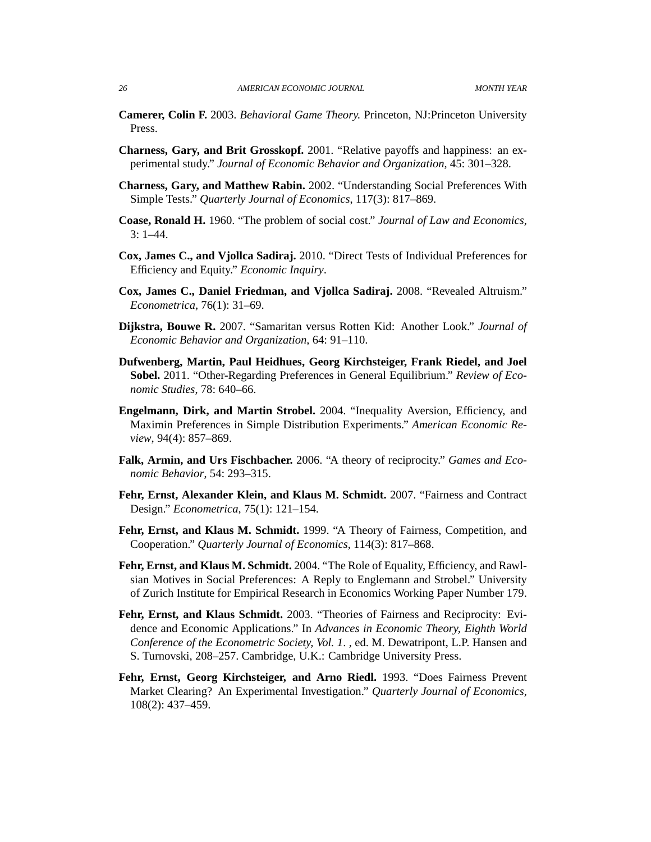- **Camerer, Colin F.** 2003. *Behavioral Game Theory.* Princeton, NJ:Princeton University Press.
- **Charness, Gary, and Brit Grosskopf.** 2001. "Relative payoffs and happiness: an experimental study." *Journal of Economic Behavior and Organization*, 45: 301–328.
- **Charness, Gary, and Matthew Rabin.** 2002. "Understanding Social Preferences With Simple Tests." *Quarterly Journal of Economics*, 117(3): 817–869.
- **Coase, Ronald H.** 1960. "The problem of social cost." *Journal of Law and Economics*, 3: 1–44.
- **Cox, James C., and Vjollca Sadiraj.** 2010. "Direct Tests of Individual Preferences for Efficiency and Equity." *Economic Inquiry*.
- **Cox, James C., Daniel Friedman, and Vjollca Sadiraj.** 2008. "Revealed Altruism." *Econometrica*, 76(1): 31–69.
- **Dijkstra, Bouwe R.** 2007. "Samaritan versus Rotten Kid: Another Look." *Journal of Economic Behavior and Organization*, 64: 91–110.
- **Dufwenberg, Martin, Paul Heidhues, Georg Kirchsteiger, Frank Riedel, and Joel Sobel.** 2011. "Other-Regarding Preferences in General Equilibrium." *Review of Economic Studies*, 78: 640–66.
- **Engelmann, Dirk, and Martin Strobel.** 2004. "Inequality Aversion, Efficiency, and Maximin Preferences in Simple Distribution Experiments." *American Economic Review*, 94(4): 857–869.
- **Falk, Armin, and Urs Fischbacher.** 2006. "A theory of reciprocity." *Games and Economic Behavior*, 54: 293–315.
- **Fehr, Ernst, Alexander Klein, and Klaus M. Schmidt.** 2007. "Fairness and Contract Design." *Econometrica*, 75(1): 121–154.
- **Fehr, Ernst, and Klaus M. Schmidt.** 1999. "A Theory of Fairness, Competition, and Cooperation." *Quarterly Journal of Economics*, 114(3): 817–868.
- **Fehr, Ernst, and Klaus M. Schmidt.** 2004. "The Role of Equality, Efficiency, and Rawlsian Motives in Social Preferences: A Reply to Englemann and Strobel." University of Zurich Institute for Empirical Research in Economics Working Paper Number 179.
- **Fehr, Ernst, and Klaus Schmidt.** 2003. "Theories of Fairness and Reciprocity: Evidence and Economic Applications." In *Advances in Economic Theory, Eighth World Conference of the Econometric Society, Vol. 1*. , ed. M. Dewatripont, L.P. Hansen and S. Turnovski, 208–257. Cambridge, U.K.: Cambridge University Press.
- **Fehr, Ernst, Georg Kirchsteiger, and Arno Riedl.** 1993. "Does Fairness Prevent Market Clearing? An Experimental Investigation." *Quarterly Journal of Economics*, 108(2): 437–459.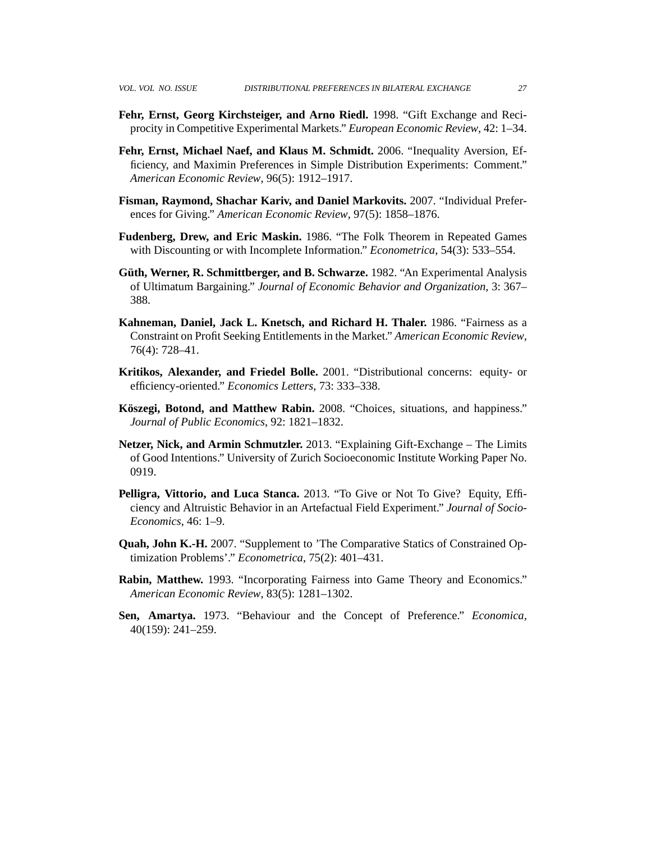- **Fehr, Ernst, Georg Kirchsteiger, and Arno Riedl.** 1998. "Gift Exchange and Reciprocity in Competitive Experimental Markets." *European Economic Review*, 42: 1–34.
- **Fehr, Ernst, Michael Naef, and Klaus M. Schmidt.** 2006. "Inequality Aversion, Efficiency, and Maximin Preferences in Simple Distribution Experiments: Comment." *American Economic Review*, 96(5): 1912–1917.
- **Fisman, Raymond, Shachar Kariv, and Daniel Markovits.** 2007. "Individual Preferences for Giving." *American Economic Review*, 97(5): 1858–1876.
- **Fudenberg, Drew, and Eric Maskin.** 1986. "The Folk Theorem in Repeated Games with Discounting or with Incomplete Information." *Econometrica*, 54(3): 533–554.
- **Güth, Werner, R. Schmittberger, and B. Schwarze.** 1982. "An Experimental Analysis of Ultimatum Bargaining." *Journal of Economic Behavior and Organization*, 3: 367– 388.
- **Kahneman, Daniel, Jack L. Knetsch, and Richard H. Thaler.** 1986. "Fairness as a Constraint on Profit Seeking Entitlements in the Market." *American Economic Review*, 76(4): 728–41.
- **Kritikos, Alexander, and Friedel Bolle.** 2001. "Distributional concerns: equity- or efficiency-oriented." *Economics Letters*, 73: 333–338.
- **Köszegi, Botond, and Matthew Rabin.** 2008. "Choices, situations, and happiness." *Journal of Public Economics*, 92: 1821–1832.
- **Netzer, Nick, and Armin Schmutzler.** 2013. "Explaining Gift-Exchange The Limits of Good Intentions." University of Zurich Socioeconomic Institute Working Paper No. 0919.
- **Pelligra, Vittorio, and Luca Stanca.** 2013. "To Give or Not To Give? Equity, Efficiency and Altruistic Behavior in an Artefactual Field Experiment." *Journal of Socio-Economics*, 46: 1–9.
- **Quah, John K.-H.** 2007. "Supplement to 'The Comparative Statics of Constrained Optimization Problems'." *Econometrica*, 75(2): 401–431.
- **Rabin, Matthew.** 1993. "Incorporating Fairness into Game Theory and Economics." *American Economic Review*, 83(5): 1281–1302.
- **Sen, Amartya.** 1973. "Behaviour and the Concept of Preference." *Economica*, 40(159): 241–259.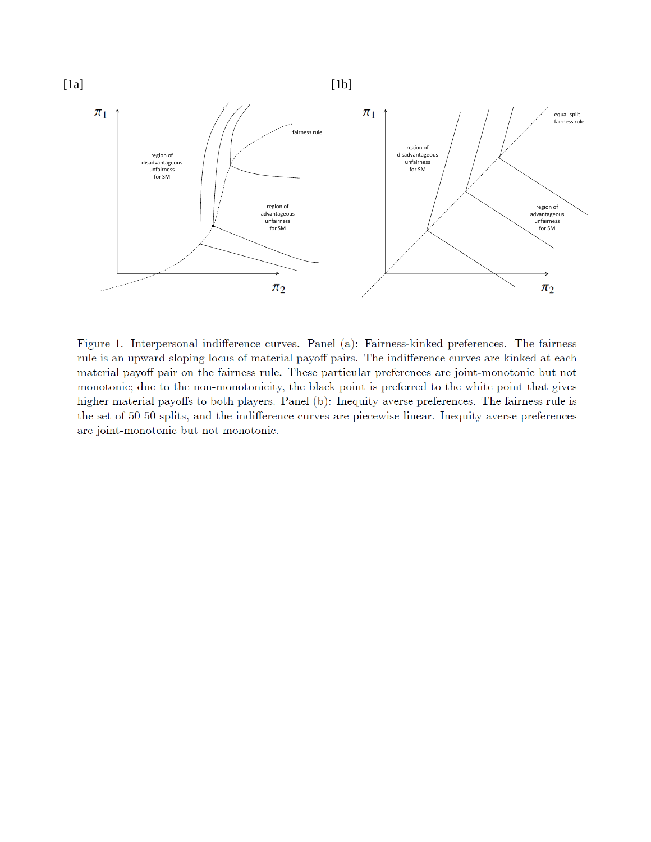

Figure 1. Interpersonal indifference curves. Panel (a): Fairness-kinked preferences. The fairness rule is an upward-sloping locus of material payoff pairs. The indifference curves are kinked at each material payoff pair on the fairness rule. These particular preferences are joint-monotonic but not monotonic; due to the non-monotonicity, the black point is preferred to the white point that gives higher material payoffs to both players. Panel (b): Inequity-averse preferences. The fairness rule is the set of 50-50 splits, and the indifference curves are piecewise-linear. Inequity-averse preferences are joint-monotonic but not monotonic.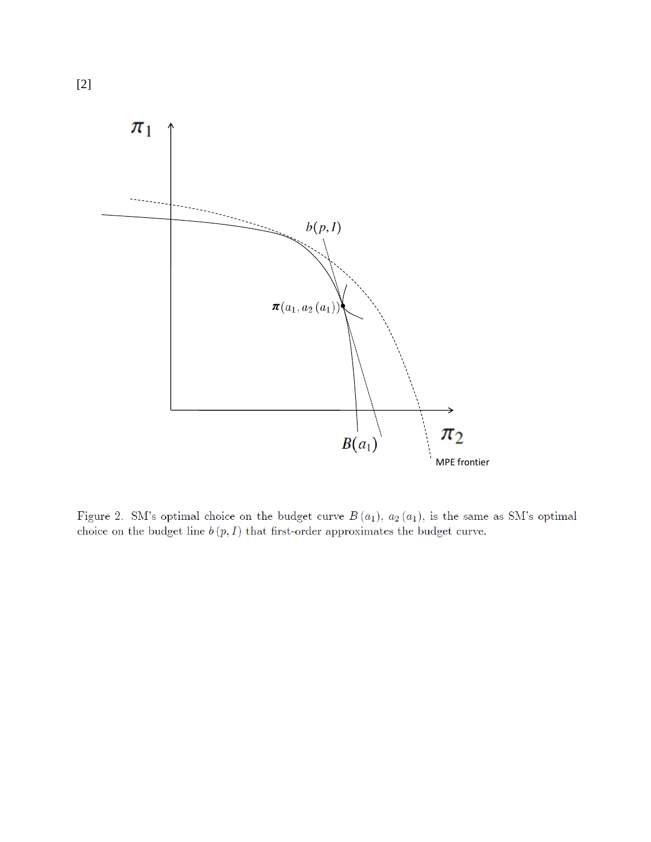

Figure 2. SM's optimal choice on the budget curve  $B(a_1)$ ,  $a_2(a_1)$ , is the same as SM's optimal choice on the budget line  $b(p, I)$  that first-order approximates the budget curve.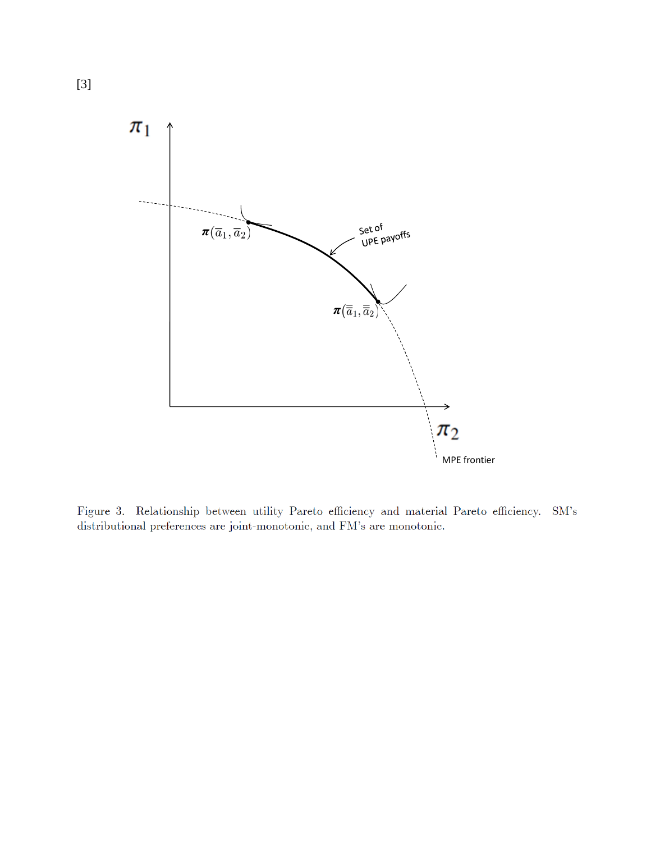

Figure 3. Relationship between utility Pareto efficiency and material Pareto efficiency. SM's distributional preferences are joint-monotonic, and FM's are monotonic.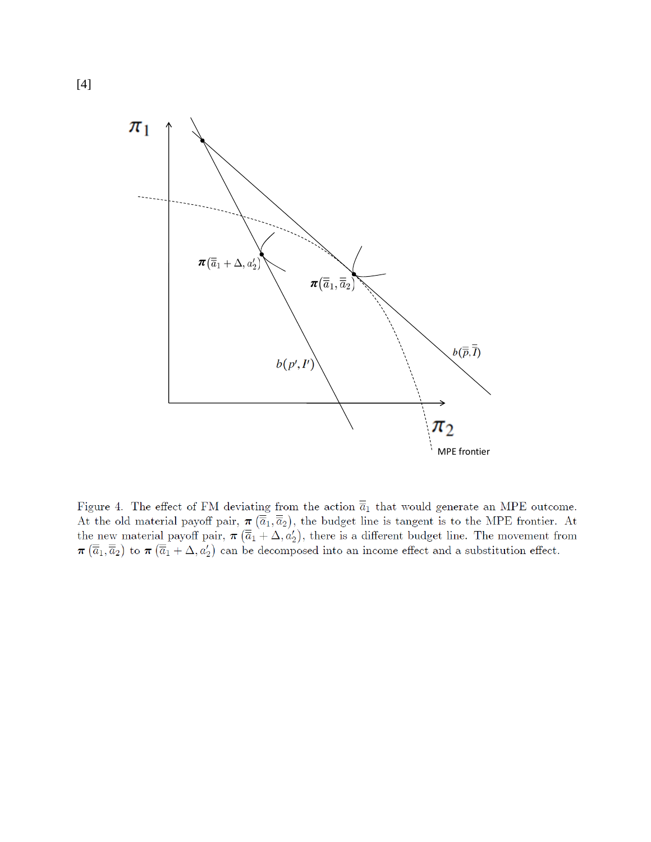

Figure 4. The effect of FM deviating from the action  $\overline{\overline{a}}_1$  that would generate an MPE outcome. At the old material payoff pair,  $\pi(\overline{\overline{a}}_1, \overline{\overline{a}}_2)$ , the budget line is tangent is to the MPE frontier. At the new material payoff pair,  $\pi(\overline{\overline{a}}_1 + \Delta, a'_2)$ , there is a different budget line. The movement from  $\pi(\overline{\overline{a}}_1, \overline{\overline{a}}_2)$  to  $\pi(\overline{\overline{a}}_1 + \Delta, a'_2)$  can be decomposed into an income effect and a substitution effect.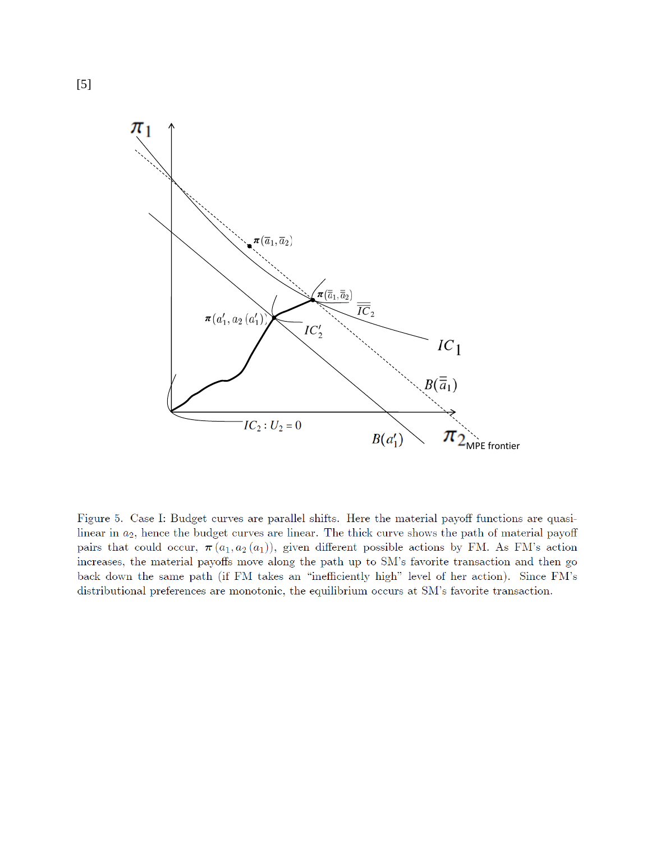

Figure 5. Case I: Budget curves are parallel shifts. Here the material payoff functions are quasilinear in  $a_2$ , hence the budget curves are linear. The thick curve shows the path of material payoff pairs that could occur,  $\pi(a_1, a_2(a_1))$ , given different possible actions by FM. As FM's action increases, the material payoffs move along the path up to SM's favorite transaction and then go back down the same path (if FM takes an "inefficiently high" level of her action). Since FM's distributional preferences are monotonic, the equilibrium occurs at SM's favorite transaction.